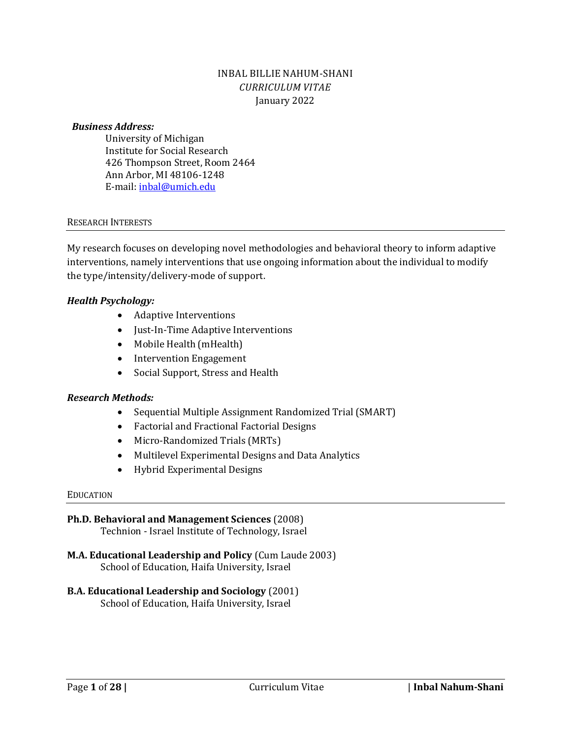## INBAL BILLIE NAHUM-SHANI *CURRICULUM VITAE* January 2022

#### *Business Address:*

University of Michigan Institute for Social Research 426 Thompson Street, Room 2464 Ann Arbor, MI 48106-1248 E-mail: [inbal@umich.edu](mailto:inbal@umich.edu)

#### RESEARCH INTERESTS

My research focuses on developing novel methodologies and behavioral theory to inform adaptive interventions, namely interventions that use ongoing information about the individual to modify the type/intensity/delivery-mode of support.

#### *Health Psychology:*

- Adaptive Interventions
- Just-In-Time Adaptive Interventions
- Mobile Health (mHealth)
- Intervention Engagement
- Social Support, Stress and Health

### *Research Methods:*

- Sequential Multiple Assignment Randomized Trial (SMART)
- Factorial and Fractional Factorial Designs
- Micro-Randomized Trials (MRTs)
- Multilevel Experimental Designs and Data Analytics
- Hybrid Experimental Designs

#### EDUCATION

# **Ph.D. Behavioral and Management Sciences** (2008)

Technion - Israel Institute of Technology, Israel

**M.A. Educational Leadership and Policy** (Cum Laude 2003) School of Education, Haifa University, Israel

### **B.A. Educational Leadership and Sociology** (2001)

School of Education, Haifa University, Israel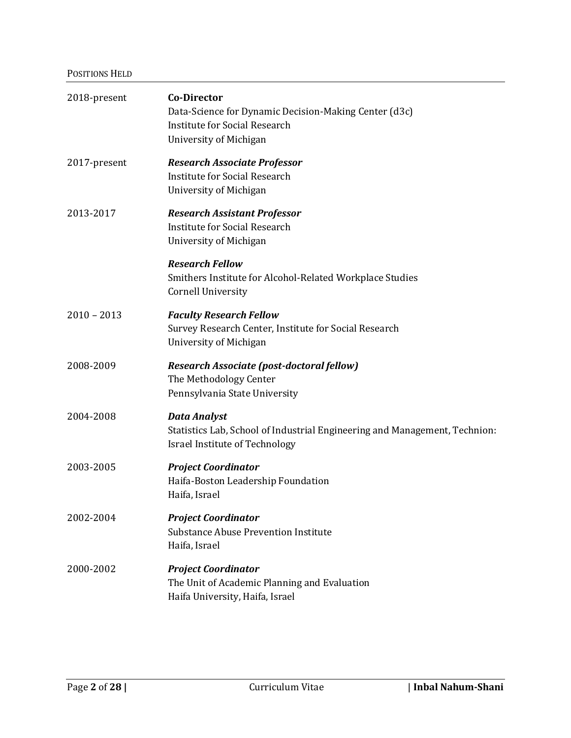### POSITIONS HELD

| 2018-present  | <b>Co-Director</b><br>Data-Science for Dynamic Decision-Making Center (d3c)<br><b>Institute for Social Research</b><br>University of Michigan |
|---------------|-----------------------------------------------------------------------------------------------------------------------------------------------|
| 2017-present  | <b>Research Associate Professor</b><br><b>Institute for Social Research</b><br>University of Michigan                                         |
| 2013-2017     | <b>Research Assistant Professor</b><br><b>Institute for Social Research</b><br>University of Michigan                                         |
|               | <b>Research Fellow</b><br>Smithers Institute for Alcohol-Related Workplace Studies<br><b>Cornell University</b>                               |
| $2010 - 2013$ | <b>Faculty Research Fellow</b><br>Survey Research Center, Institute for Social Research<br>University of Michigan                             |
| 2008-2009     | Research Associate (post-doctoral fellow)<br>The Methodology Center<br>Pennsylvania State University                                          |
| 2004-2008     | <b>Data Analyst</b><br>Statistics Lab, School of Industrial Engineering and Management, Technion:<br><b>Israel Institute of Technology</b>    |
| 2003-2005     | <b>Project Coordinator</b><br>Haifa-Boston Leadership Foundation<br>Haifa, Israel                                                             |
| 2002-2004     | <b>Project Coordinator</b><br><b>Substance Abuse Prevention Institute</b><br>Haifa, Israel                                                    |
| 2000-2002     | <b>Project Coordinator</b><br>The Unit of Academic Planning and Evaluation<br>Haifa University, Haifa, Israel                                 |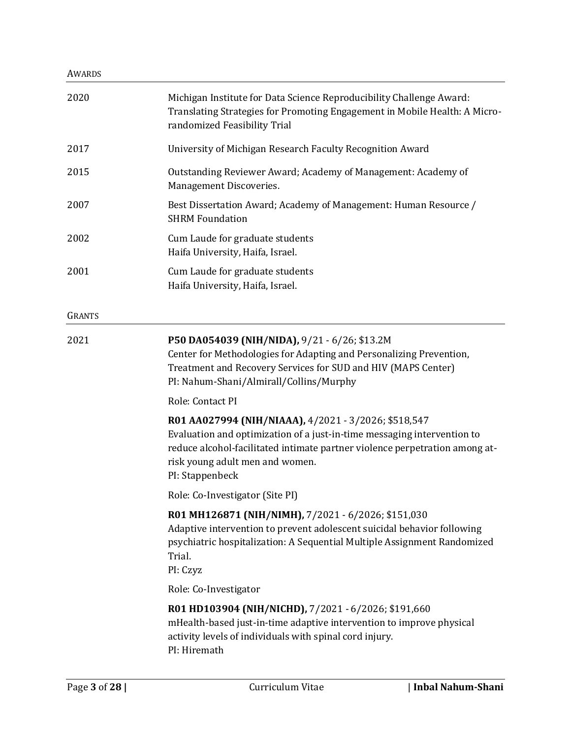#### AWARDS

| 2020          | Michigan Institute for Data Science Reproducibility Challenge Award:<br>Translating Strategies for Promoting Engagement in Mobile Health: A Micro-<br>randomized Feasibility Trial                                                                                   |
|---------------|----------------------------------------------------------------------------------------------------------------------------------------------------------------------------------------------------------------------------------------------------------------------|
| 2017          | University of Michigan Research Faculty Recognition Award                                                                                                                                                                                                            |
| 2015          | Outstanding Reviewer Award; Academy of Management: Academy of<br>Management Discoveries.                                                                                                                                                                             |
| 2007          | Best Dissertation Award; Academy of Management: Human Resource /<br><b>SHRM Foundation</b>                                                                                                                                                                           |
| 2002          | Cum Laude for graduate students<br>Haifa University, Haifa, Israel.                                                                                                                                                                                                  |
| 2001          | Cum Laude for graduate students<br>Haifa University, Haifa, Israel.                                                                                                                                                                                                  |
| <b>GRANTS</b> |                                                                                                                                                                                                                                                                      |
| 2021          | P50 DA054039 (NIH/NIDA), 9/21 - 6/26; \$13.2M<br>Center for Methodologies for Adapting and Personalizing Prevention,<br>Treatment and Recovery Services for SUD and HIV (MAPS Center)<br>PI: Nahum-Shani/Almirall/Collins/Murphy                                     |
|               | Role: Contact PI                                                                                                                                                                                                                                                     |
|               | R01 AA027994 (NIH/NIAAA), 4/2021 - 3/2026; \$518,547<br>Evaluation and optimization of a just-in-time messaging intervention to<br>reduce alcohol-facilitated intimate partner violence perpetration among at-<br>risk young adult men and women.<br>PI: Stappenbeck |
|               | Role: Co-Investigator (Site PI)                                                                                                                                                                                                                                      |
|               | R01 MH126871 (NIH/NIMH), 7/2021 - 6/2026; \$151,030<br>Adaptive intervention to prevent adolescent suicidal behavior following<br>psychiatric hospitalization: A Sequential Multiple Assignment Randomized<br>Trial.<br>PI: Czyz                                     |
|               | Role: Co-Investigator                                                                                                                                                                                                                                                |
|               | R01 HD103904 (NIH/NICHD), 7/2021 - 6/2026; \$191,660<br>mHealth-based just-in-time adaptive intervention to improve physical<br>activity levels of individuals with spinal cord injury.<br>PI: Hiremath                                                              |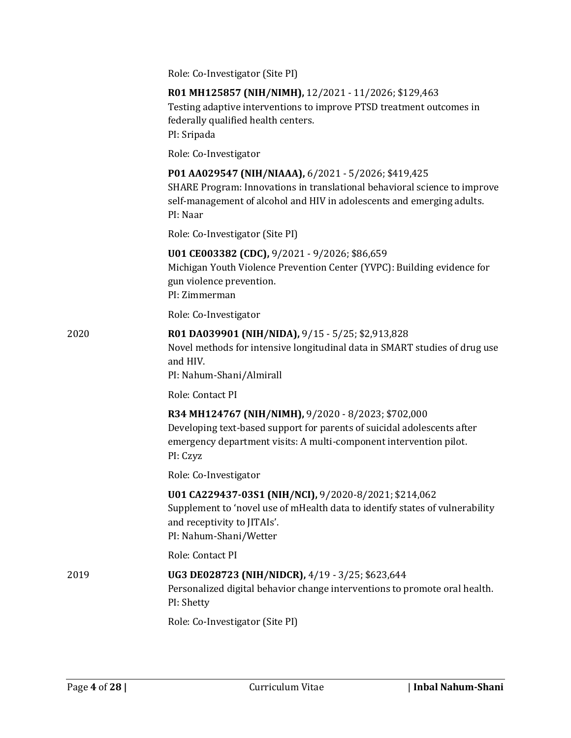|      | Role: Co-Investigator (Site PI)                                                                                                                                                                                         |
|------|-------------------------------------------------------------------------------------------------------------------------------------------------------------------------------------------------------------------------|
|      | R01 MH125857 (NIH/NIMH), 12/2021 - 11/2026; \$129,463<br>Testing adaptive interventions to improve PTSD treatment outcomes in<br>federally qualified health centers.<br>PI: Sripada                                     |
|      | Role: Co-Investigator                                                                                                                                                                                                   |
|      | P01 AA029547 (NIH/NIAAA), 6/2021 - 5/2026; \$419,425<br>SHARE Program: Innovations in translational behavioral science to improve<br>self-management of alcohol and HIV in adolescents and emerging adults.<br>PI: Naar |
|      | Role: Co-Investigator (Site PI)                                                                                                                                                                                         |
|      | U01 CE003382 (CDC), 9/2021 - 9/2026; \$86,659<br>Michigan Youth Violence Prevention Center (YVPC): Building evidence for<br>gun violence prevention.<br>PI: Zimmerman                                                   |
|      | Role: Co-Investigator                                                                                                                                                                                                   |
| 2020 | R01 DA039901 (NIH/NIDA), 9/15 - 5/25; \$2,913,828<br>Novel methods for intensive longitudinal data in SMART studies of drug use<br>and HIV.<br>PI: Nahum-Shani/Almirall                                                 |
|      | Role: Contact PI                                                                                                                                                                                                        |
|      | R34 MH124767 (NIH/NIMH), 9/2020 - 8/2023; \$702,000<br>Developing text-based support for parents of suicidal adolescents after<br>emergency department visits: A multi-component intervention pilot.<br>PI: Czyz        |
|      | Role: Co-Investigator                                                                                                                                                                                                   |
|      | U01 CA229437-03S1 (NIH/NCI), 9/2020-8/2021; \$214,062<br>Supplement to 'novel use of mHealth data to identify states of vulnerability<br>and receptivity to JITAIs'.<br>PI: Nahum-Shani/Wetter                          |
|      | Role: Contact PI                                                                                                                                                                                                        |
| 2019 | UG3 DE028723 (NIH/NIDCR), 4/19 - 3/25; \$623,644<br>Personalized digital behavior change interventions to promote oral health.<br>PI: Shetty                                                                            |
|      | Role: Co-Investigator (Site PI)                                                                                                                                                                                         |
|      |                                                                                                                                                                                                                         |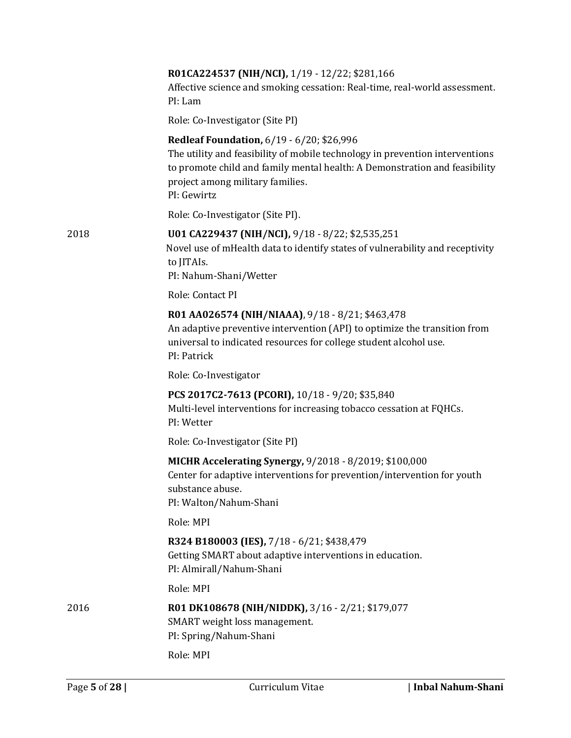|      | R01CA224537 (NIH/NCI), 1/19 - 12/22; \$281,166<br>Affective science and smoking cessation: Real-time, real-world assessment.<br>PI: Lam                                                                                                                           |
|------|-------------------------------------------------------------------------------------------------------------------------------------------------------------------------------------------------------------------------------------------------------------------|
|      | Role: Co-Investigator (Site PI)                                                                                                                                                                                                                                   |
|      | <b>Redleaf Foundation, 6/19 - 6/20; \$26,996</b><br>The utility and feasibility of mobile technology in prevention interventions<br>to promote child and family mental health: A Demonstration and feasibility<br>project among military families.<br>PI: Gewirtz |
|      | Role: Co-Investigator (Site PI).                                                                                                                                                                                                                                  |
| 2018 | U01 CA229437 (NIH/NCI), 9/18 - 8/22; \$2,535,251<br>Novel use of mHealth data to identify states of vulnerability and receptivity<br>to JITAIs.<br>PI: Nahum-Shani/Wetter                                                                                         |
|      | Role: Contact PI                                                                                                                                                                                                                                                  |
|      | R01 AA026574 (NIH/NIAAA), 9/18 - 8/21; \$463,478<br>An adaptive preventive intervention (API) to optimize the transition from<br>universal to indicated resources for college student alcohol use.<br>PI: Patrick                                                 |
|      | Role: Co-Investigator                                                                                                                                                                                                                                             |
|      | PCS 2017C2-7613 (PCORI), 10/18 - 9/20; \$35,840<br>Multi-level interventions for increasing tobacco cessation at FQHCs.<br>PI: Wetter                                                                                                                             |
|      | Role: Co-Investigator (Site PI)                                                                                                                                                                                                                                   |
|      | MICHR Accelerating Synergy, 9/2018 - 8/2019; \$100,000<br>Center for adaptive interventions for prevention/intervention for youth<br>substance abuse.<br>PI: Walton/Nahum-Shani                                                                                   |
|      | Role: MPI                                                                                                                                                                                                                                                         |
|      | R324 B180003 (IES), 7/18 - 6/21; \$438,479<br>Getting SMART about adaptive interventions in education.<br>PI: Almirall/Nahum-Shani                                                                                                                                |
|      | Role: MPI                                                                                                                                                                                                                                                         |
| 2016 | R01 DK108678 (NIH/NIDDK), 3/16 - 2/21; \$179,077<br>SMART weight loss management.<br>PI: Spring/Nahum-Shani                                                                                                                                                       |
|      | Role: MPI                                                                                                                                                                                                                                                         |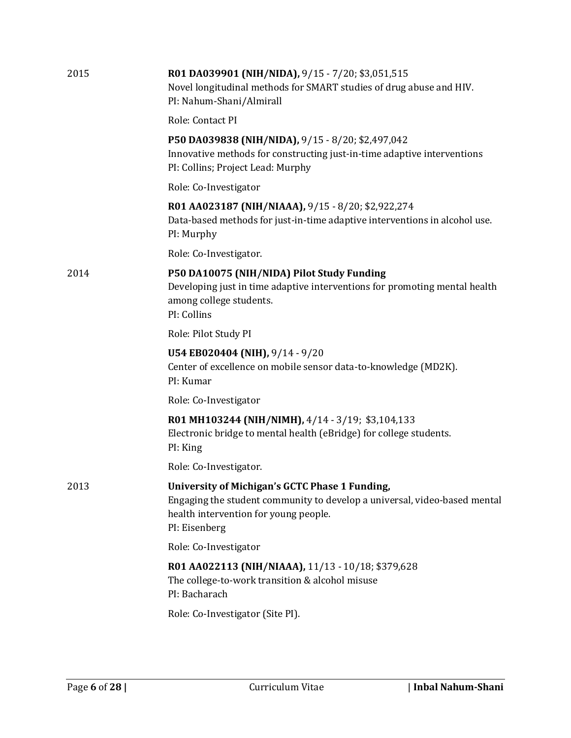| 2015 | R01 DA039901 (NIH/NIDA), 9/15 - 7/20; \$3,051,515<br>Novel longitudinal methods for SMART studies of drug abuse and HIV.<br>PI: Nahum-Shani/Almirall                                  |
|------|---------------------------------------------------------------------------------------------------------------------------------------------------------------------------------------|
|      | Role: Contact PI                                                                                                                                                                      |
|      | P50 DA039838 (NIH/NIDA), 9/15 - 8/20; \$2,497,042<br>Innovative methods for constructing just-in-time adaptive interventions<br>PI: Collins; Project Lead: Murphy                     |
|      | Role: Co-Investigator                                                                                                                                                                 |
|      | R01 AA023187 (NIH/NIAAA), 9/15 - 8/20; \$2,922,274<br>Data-based methods for just-in-time adaptive interventions in alcohol use.<br>PI: Murphy                                        |
|      | Role: Co-Investigator.                                                                                                                                                                |
| 2014 | P50 DA10075 (NIH/NIDA) Pilot Study Funding<br>Developing just in time adaptive interventions for promoting mental health<br>among college students.<br>PI: Collins                    |
|      | Role: Pilot Study PI                                                                                                                                                                  |
|      | U54 EB020404 (NIH), 9/14 - 9/20<br>Center of excellence on mobile sensor data-to-knowledge (MD2K).<br>PI: Kumar                                                                       |
|      | Role: Co-Investigator                                                                                                                                                                 |
|      | R01 MH103244 (NIH/NIMH), 4/14 - 3/19; \$3,104,133<br>Electronic bridge to mental health (eBridge) for college students.<br>PI: King                                                   |
|      | Role: Co-Investigator.                                                                                                                                                                |
| 2013 | University of Michigan's GCTC Phase 1 Funding,<br>Engaging the student community to develop a universal, video-based mental<br>health intervention for young people.<br>PI: Eisenberg |
|      | Role: Co-Investigator                                                                                                                                                                 |
|      | R01 AA022113 (NIH/NIAAA), 11/13 - 10/18; \$379,628<br>The college-to-work transition & alcohol misuse<br>PI: Bacharach                                                                |
|      | Role: Co-Investigator (Site PI).                                                                                                                                                      |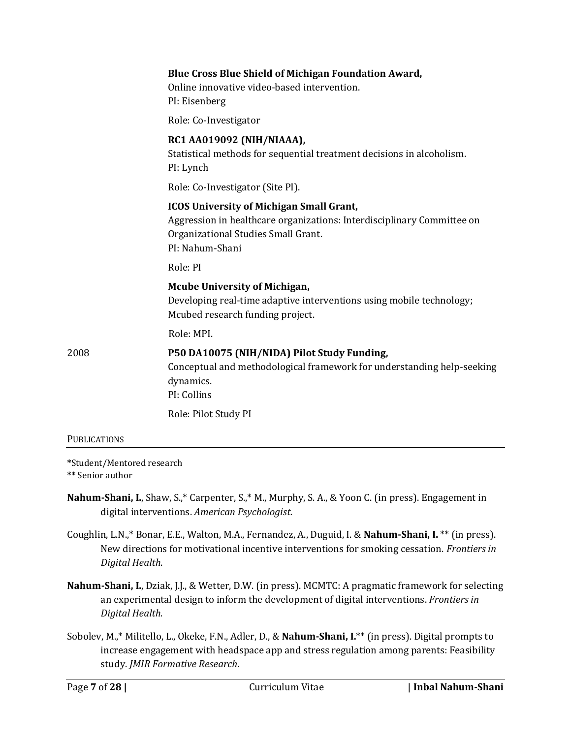|      | <b>Blue Cross Blue Shield of Michigan Foundation Award,</b><br>Online innovative video-based intervention.<br>PI: Eisenberg                                                         |
|------|-------------------------------------------------------------------------------------------------------------------------------------------------------------------------------------|
|      | Role: Co-Investigator                                                                                                                                                               |
|      | RC1 AA019092 (NIH/NIAAA),<br>Statistical methods for sequential treatment decisions in alcoholism.<br>PI: Lynch                                                                     |
|      | Role: Co-Investigator (Site PI).                                                                                                                                                    |
|      | <b>ICOS University of Michigan Small Grant,</b><br>Aggression in healthcare organizations: Interdisciplinary Committee on<br>Organizational Studies Small Grant.<br>PI: Nahum-Shani |
|      | Role: PI                                                                                                                                                                            |
|      | <b>Mcube University of Michigan,</b><br>Developing real-time adaptive interventions using mobile technology;<br>Mcubed research funding project.                                    |
|      | Role: MPI.                                                                                                                                                                          |
| 2008 | P50 DA10075 (NIH/NIDA) Pilot Study Funding,<br>Conceptual and methodological framework for understanding help-seeking<br>dynamics.<br>PI: Collins                                   |
|      | Role: Pilot Study PI                                                                                                                                                                |
|      |                                                                                                                                                                                     |

**PUBLICATIONS** 

**\***Student/Mentored research

**\*\*** Senior author

- **Nahum-Shani, I.**, Shaw, S.,\* Carpenter, S.,\* M., Murphy, S. A., & Yoon C. (in press). Engagement in digital interventions. *American Psychologist*.
- Coughlin, L.N.,\* Bonar, E.E., Walton, M.A., Fernandez, A., Duguid, I. & **Nahum-Shani, I.** \*\* (in press). New directions for motivational incentive interventions for smoking cessation. *Frontiers in Digital Health*.
- **Nahum-Shani, I.**, Dziak, J.J., & Wetter, D.W. (in press). MCMTC: A pragmatic framework for selecting an experimental design to inform the development of digital interventions. *Frontiers in Digital Health.*
- Sobolev, M.,\* Militello, L., Okeke, F.N., Adler, D., & **Nahum-Shani, I.**\*\* (in press). Digital prompts to increase engagement with headspace app and stress regulation among parents: Feasibility study. *JMIR Formative Research*.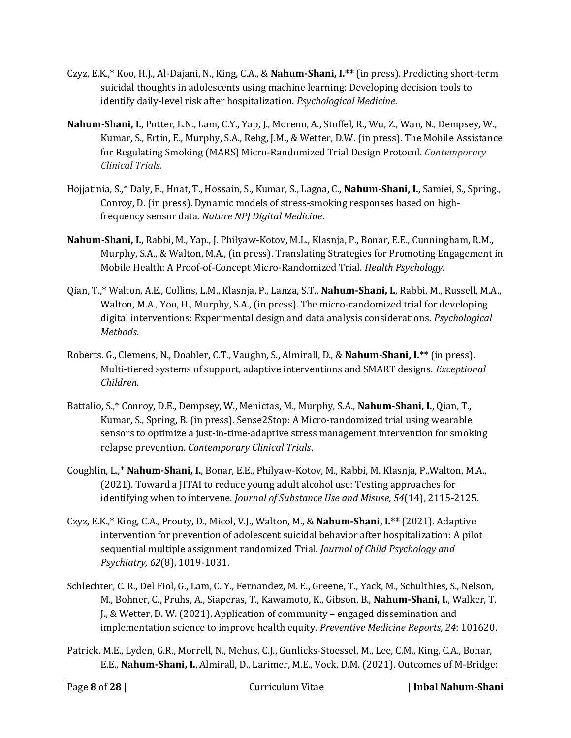- Czyz, E.K.,\* Koo, H.J., Al-Dajani, N., King, C.A., & **Nahum-Shani, I.\*\*** (in press). Predicting short-term suicidal thoughts in adolescents using machine learning: Developing decision tools to identify daily-level risk after hospitalization. *Psychological Medicine.*
- **Nahum-Shani, I.**, Potter, L.N., Lam, C.Y., Yap, J., Moreno, A., Stoffel, R., Wu, Z., Wan, N., Dempsey, W., Kumar, S., Ertin, E., Murphy, S.A., Rehg, J.M., & Wetter, D.W. (in press). The Mobile Assistance for Regulating Smoking (MARS) Micro-Randomized Trial Design Protocol. *Contemporary Clinical Trials.*
- Hojjatinia, S.,\* Daly, E., Hnat, T., Hossain, S., Kumar, S., Lagoa, C., **Nahum-Shani, I.**, Samiei, S., Spring., Conroy, D. (in press). Dynamic models of stress-smoking responses based on highfrequency sensor data. *Nature NPJ Digital Medicine*.
- **Nahum-Shani, I.**, Rabbi, M., Yap., J. Philyaw-Kotov, M.L., Klasnja, P., Bonar, E.E., Cunningham, R.M., Murphy, S.A., & Walton, M.A., (in press). Translating Strategies for Promoting Engagement in Mobile Health: A Proof-of-Concept Micro-Randomized Trial. *Health Psychology*.
- Qian, T.,\* Walton, A.E., Collins, L.M., Klasnja, P., Lanza, S.T., **Nahum-Shani, I.**, Rabbi, M., Russell, M.A., Walton, M.A., Yoo, H., Murphy, S.A., (in press). The micro-randomized trial for developing digital interventions: Experimental design and data analysis considerations. *Psychological Methods*.
- Roberts. G., Clemens, N., Doabler, C.T., Vaughn, S., Almirall, D., & **Nahum-Shani, I.\*\*** (in press). Multi-tiered systems of support, adaptive interventions and SMART designs. *Exceptional Children*.
- Battalio, S.,\* Conroy, D.E., Dempsey, W., Menictas, M., Murphy, S.A., **Nahum-Shani, I.**, Qian, T., Kumar, S., Spring, B. (in press). Sense2Stop: A Micro-randomized trial using wearable sensors to optimize a just-in-time-adaptive stress management intervention for smoking relapse prevention. *Contemporary Clinical Trials*.
- Coughlin, L.,\* **Nahum-Shani, I.**, Bonar, E.E., Philyaw-Kotov, M., Rabbi, M. Klasnja, P.,Walton, M.A., (2021). Toward a JITAI to reduce young adult alcohol use: Testing approaches for identifying when to intervene. *Journal of Substance Use and Misuse, 54*(14), 2115-2125.
- Czyz, E.K.,\* King, C.A., Prouty, D., Micol, V.J., Walton, M., & **Nahum-Shani, I.\*\*** (2021). Adaptive intervention for prevention of adolescent suicidal behavior after hospitalization: A pilot sequential multiple assignment randomized Trial. *Journal of Child Psychology and Psychiatry, 62*(8), 1019-1031.
- Schlechter, C. R., Del Fiol, G., Lam, C. Y., Fernandez, M. E., Greene, T., Yack, M., Schulthies, S., Nelson, M., Bohner, C., Pruhs, A., Siaperas, T., Kawamoto, K., Gibson, B., **Nahum-Shani, I.**, Walker, T. J., & Wetter, D. W. (2021). Application of community – engaged dissemination and implementation science to improve health equity. *Preventive Medicine Reports, 24*: 101620.
- Patrick. M.E., Lyden, G.R., Morrell, N., Mehus, C.J., Gunlicks-Stoessel, M., Lee, C.M., King, C.A., Bonar, E.E., **Nahum-Shani, I.**, Almirall, D., Larimer, M.E., Vock, D.M. (2021). Outcomes of M-Bridge: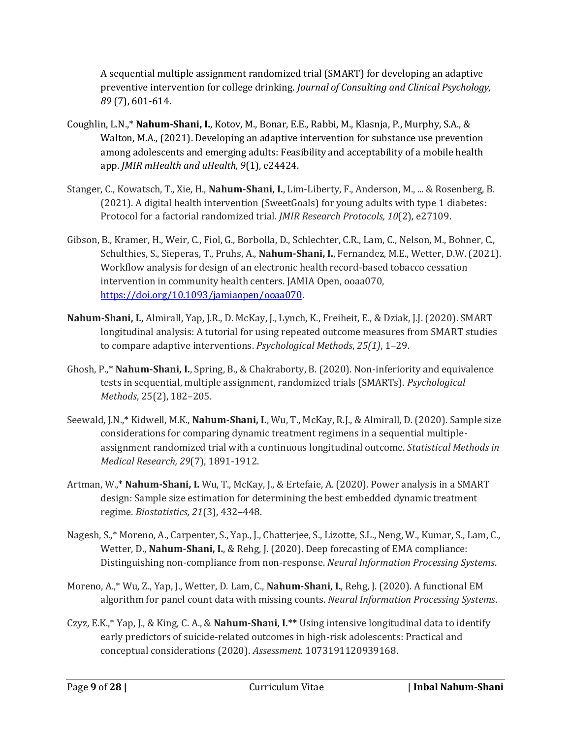A sequential multiple assignment randomized trial (SMART) for developing an adaptive preventive intervention for college drinking. *Journal of Consulting and Clinical Psychology, 89* (7), 601-614.

- Coughlin, L.N.,\* **Nahum-Shani, I.**, Kotov, M., Bonar, E.E., Rabbi, M., Klasnja, P., Murphy, S.A., & Walton, M.A., (2021). Developing an adaptive intervention for substance use prevention among adolescents and emerging adults: Feasibility and acceptability of a mobile health app. *JMIR mHealth and uHealth, 9*(1), e24424.
- Stanger, C., Kowatsch, T., Xie, H., **Nahum-Shani, I.**, Lim-Liberty, F., Anderson, M., ... & Rosenberg, B. (2021). A digital health intervention (SweetGoals) for young adults with type 1 diabetes: Protocol for a factorial randomized trial. *JMIR Research Protocols, 10*(2), e27109.
- Gibson, B., Kramer, H., Weir, C., Fiol, G., Borbolla, D., Schlechter, C.R., Lam, C., Nelson, M., Bohner, C., Schulthies, S., Sieperas, T., Pruhs, A., **Nahum-Shani, I.**, Fernandez, M.E., Wetter, D.W. (2021). Workflow analysis for design of an electronic health record-based tobacco cessation intervention in community health centers. JAMIA Open, ooaa070, [https://doi.org/10.1093/jamiaopen/ooaa070.](https://doi.org/10.1093/jamiaopen/ooaa070)
- **Nahum-Shani, I.,** Almirall, Yap, J.R., D. McKay, J., Lynch, K., Freiheit, E., & Dziak, J.J. (2020). SMART longitudinal analysis: A tutorial for using repeated outcome measures from SMART studies to compare adaptive interventions. *Psychological Methods*, *25(1)*, 1–29.
- Ghosh, P.,\* **Nahum-Shani, I.**, Spring, B., & Chakraborty, B. (2020). Non-inferiority and equivalence tests in sequential, multiple assignment, randomized trials (SMARTs). *Psychological Methods*, 25(2), 182–205.
- Seewald, J.N.,\* Kidwell, M.K., **Nahum-Shani, I.**, Wu, T., McKay, R.J., & Almirall, D. (2020). Sample size considerations for comparing dynamic treatment regimens in a sequential multipleassignment randomized trial with a continuous longitudinal outcome. *Statistical Methods in Medical Research, 29*(7), 1891-1912.
- Artman, W.,\* **Nahum-Shani, I.** Wu, T., McKay, J., & Ertefaie, A. (2020). Power analysis in a SMART design: Sample size estimation for determining the best embedded dynamic treatment regime. *Biostatistics, 21*(3), 432–448.
- Nagesh, S.,\* Moreno, A., Carpenter, S., Yap., J., Chatterjee, S., Lizotte, S.L., Neng, W., Kumar, S., Lam, C., Wetter, D., **Nahum-Shani, I.**, & Rehg, J. (2020). Deep forecasting of EMA compliance: Distinguishing non-compliance from non-response. *Neural Information Processing Systems*.
- Moreno, A.,\* Wu, Z., Yap, J., Wetter, D. Lam, C., **Nahum-Shani, I.**, Rehg, J. (2020). A functional EM algorithm for panel count data with missing counts. *Neural Information Processing Systems*.
- Czyz, E.K.,\* Yap, J., & King, C. A., & **Nahum-Shani, I.\*\*** Using intensive longitudinal data to identify early predictors of suicide-related outcomes in high-risk adolescents: Practical and conceptual considerations (2020). *Assessment.* 1073191120939168.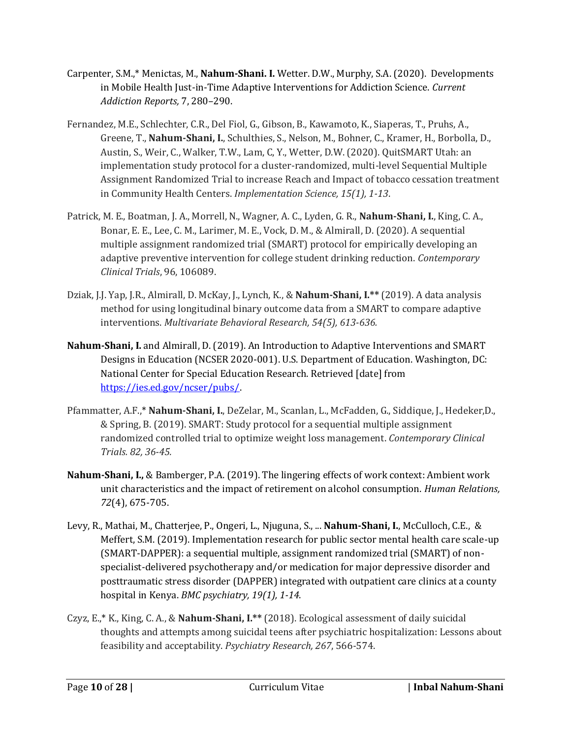- Carpenter, S.M.,\* Menictas, M., **Nahum-Shani. I.** Wetter. D.W., Murphy, S.A. (2020). Developments in Mobile Health Just-in-Time Adaptive Interventions for Addiction Science. *Current Addiction Reports,* 7, 280–290.
- Fernandez, M.E., Schlechter, C.R., Del Fiol, G., Gibson, B., Kawamoto, K., Siaperas, T., Pruhs, A., Greene, T., **Nahum-Shani, I.**, Schulthies, S., Nelson, M., Bohner, C., Kramer, H., Borbolla, D., Austin, S., Weir, C., Walker, T.W., Lam, C, Y., Wetter, D.W. (2020). QuitSMART Utah: an implementation study protocol for a cluster-randomized, multi-level Sequential Multiple Assignment Randomized Trial to increase Reach and Impact of tobacco cessation treatment in Community Health Centers. *Implementation Science, 15(1), 1-13*.
- Patrick, M. E., Boatman, J. A., Morrell, N., Wagner, A. C., Lyden, G. R., **Nahum-Shani, I.**, King, C. A., Bonar, E. E., Lee, C. M., Larimer, M. E., Vock, D. M., & Almirall, D. (2020). A sequential multiple assignment randomized trial (SMART) protocol for empirically developing an adaptive preventive intervention for college student drinking reduction. *Contemporary Clinical Trials*, 96, 106089.
- Dziak, J.J. Yap, J.R., Almirall, D. McKay, J., Lynch, K., & **Nahum-Shani, I.\*\*** (2019). A data analysis method for using longitudinal binary outcome data from a SMART to compare adaptive interventions. *Multivariate Behavioral Research, 54(5), 613-636.*
- **Nahum-Shani, I.** and Almirall, D. (2019). An Introduction to Adaptive Interventions and SMART Designs in Education (NCSER 2020-001). U.S. Department of Education. Washington, DC: National Center for Special Education Research. Retrieved [date] from [https://ies.ed.gov/ncser/pubs/.](https://ies.ed.gov/ncser/pubs/)
- Pfammatter, A.F.,\* **Nahum-Shani, I.**, DeZelar, M., Scanlan, L., McFadden, G., Siddique, J., Hedeker,D., & Spring, B. (2019). SMART: Study protocol for a sequential multiple assignment randomized controlled trial to optimize weight loss management. *Contemporary Clinical Trials. 82, 36-45.*
- **Nahum-Shani, I.,** & Bamberger, P.A. (2019). The lingering effects of work context: Ambient work unit characteristics and the impact of retirement on alcohol consumption. *Human Relations, 72*(4), 675-705.
- Levy, R., Mathai, M., Chatterjee, P., Ongeri, L., Njuguna, S., ... **Nahum-Shani, I.**, McCulloch, C.E., & Meffert, S.M. (2019). Implementation research for public sector mental health care scale-up (SMART-DAPPER): a sequential multiple, assignment randomized trial (SMART) of nonspecialist-delivered psychotherapy and/or medication for major depressive disorder and posttraumatic stress disorder (DAPPER) integrated with outpatient care clinics at a county hospital in Kenya. *BMC psychiatry, 19(1), 1-14*.
- Czyz, E.,\* K., King, C. A., & **Nahum-Shani, I.\*\*** (2018). Ecological assessment of daily suicidal thoughts and attempts among suicidal teens after psychiatric hospitalization: Lessons about feasibility and acceptability. *Psychiatry Research, 267*, 566-574.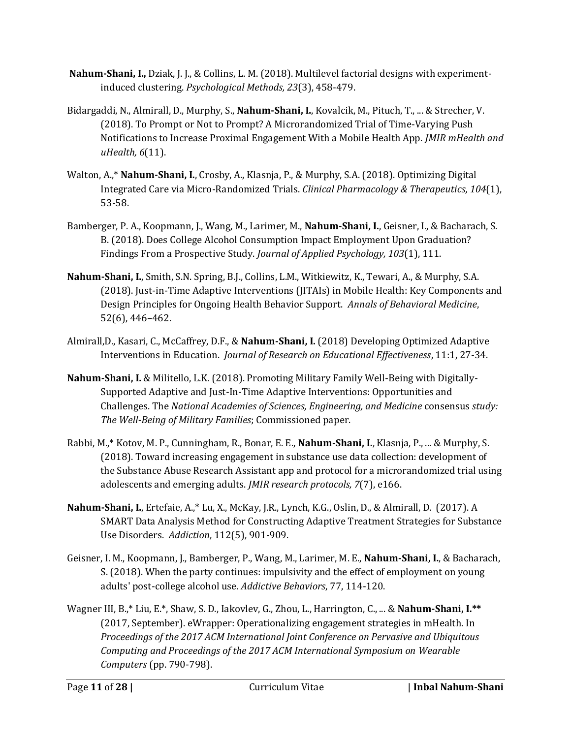- **Nahum-Shani, I.,** Dziak, J. J., & Collins, L. M. (2018). Multilevel factorial designs with experimentinduced clustering. *Psychological Methods, 23*(3), 458-479.
- Bidargaddi, N., Almirall, D., Murphy, S., **Nahum-Shani, I.**, Kovalcik, M., Pituch, T., ... & Strecher, V. (2018). To Prompt or Not to Prompt? A Microrandomized Trial of Time-Varying Push Notifications to Increase Proximal Engagement With a Mobile Health App. *JMIR mHealth and uHealth, 6*(11).
- Walton, A.,\* **Nahum-Shani, I.**, Crosby, A., Klasnja, P., & Murphy, S.A. (2018). Optimizing Digital Integrated Care via Micro-Randomized Trials. *Clinical Pharmacology & Therapeutics, 104*(1), 53-58.
- Bamberger, P. A., Koopmann, J., Wang, M., Larimer, M., **Nahum-Shani, I.**, Geisner, I., & Bacharach, S. B. (2018). Does College Alcohol Consumption Impact Employment Upon Graduation? Findings From a Prospective Study. *Journal of Applied Psychology, 103*(1), 111.
- **Nahum-Shani, I.**, Smith, S.N. Spring, B.J., Collins, L.M., Witkiewitz, K., Tewari, A., & Murphy, S.A. (2018). Just-in-Time Adaptive Interventions (JITAIs) in Mobile Health: Key Components and Design Principles for Ongoing Health Behavior Support. *Annals of Behavioral Medicine*, 52(6), 446–462.
- Almirall,D., Kasari, C., McCaffrey, D.F., & **Nahum-Shani, I.** (2018) Developing Optimized Adaptive Interventions in Education. *Journal of Research on Educational Effectiveness*, 11:1, 27-34.
- **Nahum-Shani, I.** & Militello, L.K. (2018). Promoting Military Family Well-Being with Digitally-Supported Adaptive and Just-In-Time Adaptive Interventions: Opportunities and Challenges. The *National Academies of Sciences, Engineering, and Medicine* consensus *study: The Well-Being of Military Families*; Commissioned paper.
- Rabbi, M.,\* Kotov, M. P., Cunningham, R., Bonar, E. E., **Nahum-Shani, I.**, Klasnja, P., ... & Murphy, S. (2018). Toward increasing engagement in substance use data collection: development of the Substance Abuse Research Assistant app and protocol for a microrandomized trial using adolescents and emerging adults. *JMIR research protocols, 7*(7), e166.
- **Nahum-Shani, I.**, Ertefaie, A.,\* Lu, X., McKay, J.R., Lynch, K.G., Oslin, D., & Almirall, D. (2017). A SMART Data Analysis Method for Constructing Adaptive Treatment Strategies for Substance Use Disorders. *Addiction*, 112(5), 901-909.
- Geisner, I. M., Koopmann, J., Bamberger, P., Wang, M., Larimer, M. E., **Nahum-Shani, I.**, & Bacharach, S. (2018). When the party continues: impulsivity and the effect of employment on young adults' post-college alcohol use. *Addictive Behaviors*, 77, 114-120.
- Wagner III, B.,\* Liu, E.\*, Shaw, S. D., Iakovlev, G., Zhou, L., Harrington, C., ... & **Nahum-Shani, I.\*\*** (2017, September). eWrapper: Operationalizing engagement strategies in mHealth. In *Proceedings of the 2017 ACM International Joint Conference on Pervasive and Ubiquitous Computing and Proceedings of the 2017 ACM International Symposium on Wearable Computers* (pp. 790-798).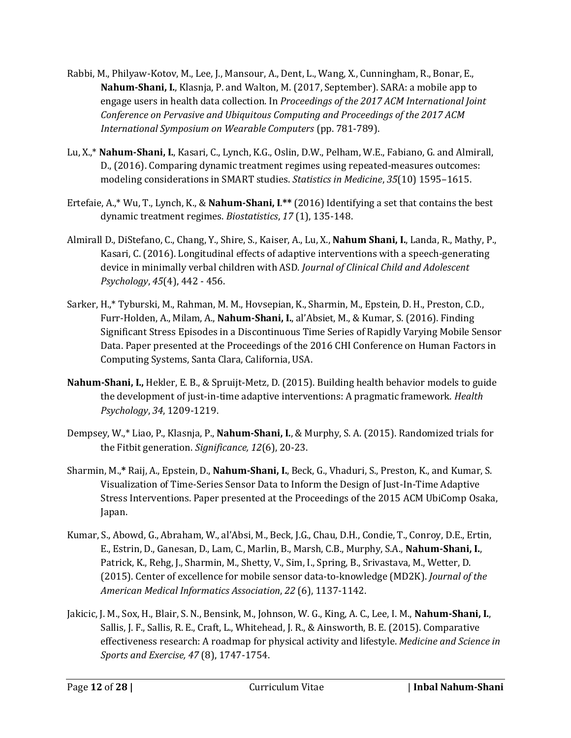- Rabbi, M., Philyaw-Kotov, M., Lee, J., Mansour, A., Dent, L., Wang, X., Cunningham, R., Bonar, E., **Nahum-Shani, I.**, Klasnja, P. and Walton, M. (2017, September). SARA: a mobile app to engage users in health data collection. In *Proceedings of the 2017 ACM International Joint Conference on Pervasive and Ubiquitous Computing and Proceedings of the 2017 ACM International Symposium on Wearable Computers* (pp. 781-789).
- Lu, X.,\* **Nahum‐Shani, I.**, Kasari, C., Lynch, K.G., Oslin, D.W., Pelham, W.E., Fabiano, G. and Almirall, D., (2016). Comparing dynamic treatment regimes using repeated-measures outcomes: modeling considerations in SMART studies. *Statistics in Medicine*, *35*(10) 1595–1615.
- Ertefaie, A.,\* Wu, T., Lynch, K., & **Nahum-Shani, I**.**\*\*** (2016) Identifying a set that contains the best dynamic treatment regimes. *Biostatistics*, *17* (1), 135-148.
- Almirall D., DiStefano, C., Chang, Y., Shire, S., Kaiser, A., Lu, X., **Nahum Shani, I.**, Landa, R., Mathy, P., Kasari, C. (2016). Longitudinal effects of adaptive interventions with a speech-generating device in minimally verbal children with ASD. *Journal of Clinical Child and Adolescent Psychology*, *45*(4), 442 - 456.
- Sarker, H.,\* Tyburski, M., Rahman, M. M., Hovsepian, K., Sharmin, M., Epstein, D. H., Preston, C.D., Furr-Holden, A., Milam, A., **Nahum-Shani, I.**, al'Absiet, M., & Kumar, S. (2016). Finding Significant Stress Episodes in a Discontinuous Time Series of Rapidly Varying Mobile Sensor Data. Paper presented at the Proceedings of the 2016 CHI Conference on Human Factors in Computing Systems, Santa Clara, California, USA.
- **Nahum-Shani, I.,** Hekler, E. B., & Spruijt-Metz, D. (2015). Building health behavior models to guide the development of just-in-time adaptive interventions: A pragmatic framework. *Health Psychology*, *34*, 1209-1219.
- Dempsey, W.,\* Liao, P., Klasnja, P., **Nahum‐Shani, I.**, & Murphy, S. A. (2015). Randomized trials for the Fitbit generation. *Significance, 12*(6), 20-23.
- Sharmin, M.,**\*** Raij, A., Epstein, D., **Nahum-Shani, I.**, Beck, G., Vhaduri, S., Preston, K., and Kumar, S. Visualization of Time-Series Sensor Data to Inform the Design of Just-In-Time Adaptive Stress Interventions. Paper presented at the Proceedings of the 2015 ACM UbiComp Osaka, Japan.
- Kumar, S., Abowd, G., Abraham, W., al'Absi, M., Beck, J.G., Chau, D.H., Condie, T., Conroy, D.E., Ertin, E., Estrin, D., Ganesan, D., Lam, C., Marlin, B., Marsh, C.B., Murphy, S.A., **Nahum-Shani, I.**, Patrick, K., Rehg, J., Sharmin, M., Shetty, V., Sim, I., Spring, B., Srivastava, M., Wetter, D. (2015). Center of excellence for mobile sensor data-to-knowledge (MD2K). *Journal of the American Medical Informatics Association*, *22* (6), 1137-1142.
- Jakicic, J. M., Sox, H., Blair, S. N., Bensink, M., Johnson, W. G., King, A. C., Lee, I. M., **Nahum-Shani, I.**, Sallis, J. F., Sallis, R. E., Craft, L., Whitehead, J. R., & Ainsworth, B. E. (2015). Comparative effectiveness research: A roadmap for physical activity and lifestyle. *Medicine and Science in Sports and Exercise, 47* (8), 1747-1754.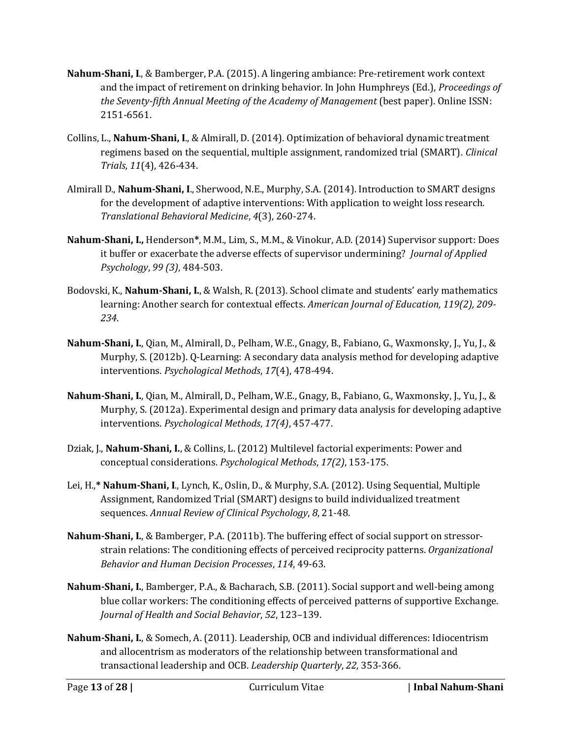- **Nahum-Shani, I**., & Bamberger, P.A. (2015). A lingering ambiance: Pre-retirement work context and the impact of retirement on drinking behavior. In John Humphreys (Ed.), *Proceedings of the Seventy-fifth Annual Meeting of the Academy of Management* (best paper). Online ISSN: 2151-6561.
- Collins, L., **Nahum-Shani, I**., & Almirall, D. (2014). Optimization of behavioral dynamic treatment regimens based on the sequential, multiple assignment, randomized trial (SMART). *Clinical Trials, 11*(4), 426-434.
- Almirall D., **Nahum-Shani, I**., Sherwood, N.E., Murphy, S.A. (2014). Introduction to SMART designs for the development of adaptive interventions: With application to weight loss research. *Translational Behavioral Medicine*, *4*(3), 260-274.
- **Nahum-Shani, I.,** Henderson**\***, M.M., Lim, S., M.M., & Vinokur, A.D. (2014) Supervisor support: Does it buffer or exacerbate the adverse effects of supervisor undermining? *Journal of Applied Psychology*, *99 (3)*, 484-503.
- Bodovski, K., **Nahum-Shani, I.**, & Walsh, R. (2013). School climate and students' early mathematics learning: Another search for contextual effects. *American Journal of Education, 119(2), 209- 234*.
- **Nahum-Shani, I.**, Qian, M., Almirall, D., Pelham, W.E., Gnagy, B., Fabiano, G., Waxmonsky, J., Yu, J., & Murphy, S. (2012b). Q-Learning: A secondary data analysis method for developing adaptive interventions. *Psychological Methods*, *17*(4), 478-494.
- **Nahum-Shani, I.**, Qian, M., Almirall, D., Pelham, W.E., Gnagy, B., Fabiano, G., Waxmonsky, J., Yu, J., & Murphy, S. (2012a). Experimental design and primary data analysis for developing adaptive interventions. *Psychological Methods*, *17(4)*, 457-477.
- Dziak, J., **Nahum-Shani, I.**, & Collins, L. (2012) Multilevel factorial experiments: Power and conceptual considerations. *Psychological Methods*, *17(2)*, 153-175.
- Lei, H.,**\* Nahum-Shani, I**., Lynch, K., Oslin, D., & Murphy, S.A. (2012). Using Sequential, Multiple Assignment, Randomized Trial (SMART) designs to build individualized treatment sequences. *Annual Review of Clinical Psychology*, *8*, 21-48.
- **Nahum-Shani, I.**, & Bamberger, P.A. (2011b). The buffering effect of social support on stressorstrain relations: The conditioning effects of perceived reciprocity patterns. *Organizational Behavior and Human Decision Processes*, *114*, 49-63.
- **Nahum-Shani, I.**, Bamberger, P.A., & Bacharach, S.B. (2011). Social support and well-being among blue collar workers: The conditioning effects of perceived patterns of supportive Exchange. *Journal of Health and Social Behavior*, *52*, 123–139.
- **Nahum-Shani, I.**, & Somech, A. (2011). Leadership, OCB and individual differences: Idiocentrism and allocentrism as moderators of the relationship between transformational and transactional leadership and OCB. *Leadership Quarterly*, *22*, 353-366.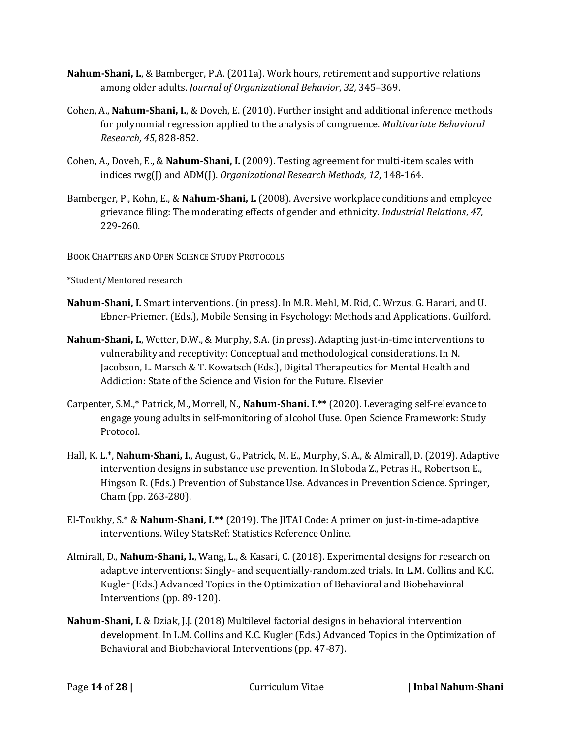- **Nahum-Shani, I.**, & Bamberger, P.A. (2011a). Work hours, retirement and supportive relations among older adults. *Journal of Organizational Behavior*, *32,* 345–369.
- Cohen, A., **Nahum-Shani, I.**, & Doveh, E. (2010). Further insight and additional inference methods for polynomial regression applied to the analysis of congruence. *Multivariate Behavioral Research, 45*, 828-852.
- Cohen, A., Doveh, E., & **Nahum-Shani, I.** (2009). Testing agreement for multi-item scales with indices rwg(I) and ADM(I). *Organizational Research Methods, 12*, 148-164.
- Bamberger, P., Kohn, E., & **Nahum-Shani, I.** (2008). Aversive workplace conditions and employee grievance filing: The moderating effects of gender and ethnicity. *Industrial Relations*, *47*, 229-260.

### BOOK CHAPTERS AND OPEN SCIENCE STUDY PROTOCOLS

\*Student/Mentored research

- **Nahum-Shani, I.** Smart interventions. (in press). In M.R. Mehl, M. Rid, C. Wrzus, G. Harari, and U. Ebner-Priemer. (Eds.), Mobile Sensing in Psychology: Methods and Applications. Guilford.
- **Nahum-Shani, I.**, Wetter, D.W., & Murphy, S.A. (in press). Adapting just-in-time interventions to vulnerability and receptivity: Conceptual and methodological considerations. In N. Jacobson, L. Marsch & T. Kowatsch (Eds.), Digital Therapeutics for Mental Health and Addiction: State of the Science and Vision for the Future. Elsevier
- Carpenter, S.M.,\* Patrick, M., Morrell, N., **Nahum-Shani. I.\*\*** (2020). Leveraging self-relevance to engage young adults in self-monitoring of alcohol Uuse. Open Science Framework: Study Protocol.
- Hall, K. L.\*, **Nahum-Shani, I.**, August, G., Patrick, M. E., Murphy, S. A., & Almirall, D. (2019). Adaptive intervention designs in substance use prevention. In Sloboda Z., Petras H., Robertson E., Hingson R. (Eds.) Prevention of Substance Use. Advances in Prevention Science. Springer, Cham (pp. 263-280).
- El-Toukhy, S.\* & **Nahum-Shani, I.\*\*** (2019). The JITAI Code: A primer on just-in-time-adaptive interventions. Wiley StatsRef: Statistics Reference Online.
- Almirall, D., **Nahum-Shani, I.**, Wang, L., & Kasari, C. (2018). Experimental designs for research on adaptive interventions: Singly- and sequentially-randomized trials. In L.M. Collins and K.C. Kugler (Eds.) Advanced Topics in the Optimization of Behavioral and Biobehavioral Interventions (pp. 89-120).
- **Nahum-Shani, I.** & Dziak, J.J. (2018) Multilevel factorial designs in behavioral intervention development. In L.M. Collins and K.C. Kugler (Eds.) Advanced Topics in the Optimization of Behavioral and Biobehavioral Interventions (pp. 47-87).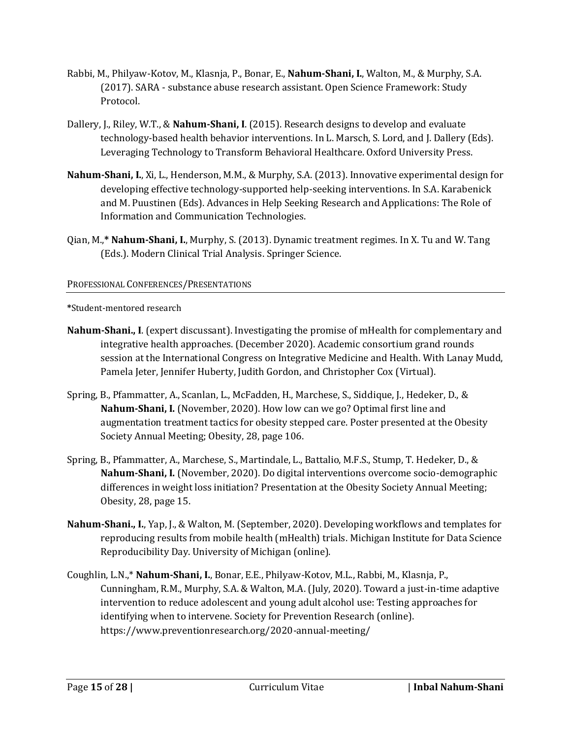- Rabbi, M., Philyaw-Kotov, M., Klasnja, P., Bonar, E., **Nahum-Shani, I.**, Walton, M., & Murphy, S.A. (2017). SARA - substance abuse research assistant. Open Science Framework: Study Protocol.
- Dallery, J., Riley, W.T., & **Nahum-Shani, I**. (2015). Research designs to develop and evaluate technology-based health behavior interventions. In L. Marsch, S. Lord, and J. Dallery (Eds). Leveraging Technology to Transform Behavioral Healthcare. Oxford University Press.
- **Nahum-Shani, I.**, Xi, L., Henderson, M.M., & Murphy, S.A. (2013). Innovative experimental design for developing effective technology-supported help-seeking interventions. In S.A. Karabenick and M. Puustinen (Eds). Advances in Help Seeking Research and Applications: The Role of Information and Communication Technologies.
- Qian, M.,**\* Nahum-Shani, I.**, Murphy, S. (2013). Dynamic treatment regimes. In X. Tu and W. Tang (Eds.). Modern Clinical Trial Analysis. Springer Science.

## PROFESSIONAL CONFERENCES/PRESENTATIONS

**\***Student-mentored research

- **Nahum-Shani., I**. (expert discussant). Investigating the promise of mHealth for complementary and integrative health approaches. (December 2020). Academic consortium grand rounds session at the International Congress on Integrative Medicine and Health. With Lanay Mudd, Pamela Jeter, Jennifer Huberty, Judith Gordon, and Christopher Cox (Virtual).
- Spring, B., Pfammatter, A., Scanlan, L., McFadden, H., Marchese, S., Siddique, J., Hedeker, D., & **Nahum-Shani, I.** (November, 2020). How low can we go? Optimal first line and augmentation treatment tactics for obesity stepped care. Poster presented at the Obesity Society Annual Meeting; Obesity, 28, page 106.
- Spring, B., Pfammatter, A., Marchese, S., Martindale, L., Battalio, M.F.S., Stump, T. Hedeker, D., & **Nahum-Shani, I.** (November, 2020). Do digital interventions overcome socio-demographic differences in weight loss initiation? Presentation at the Obesity Society Annual Meeting; Obesity, 28, page 15.
- **Nahum-Shani., I.**, Yap, J., & Walton, M. (September, 2020). Developing workflows and templates for reproducing results from mobile health (mHealth) trials. Michigan Institute for Data Science Reproducibility Day. University of Michigan (online).
- Coughlin, L.N.,\* **Nahum-Shani, I.**, Bonar, E.E., Philyaw-Kotov, M.L., Rabbi, M., Klasnja, P., Cunningham, R.M., Murphy, S.A. & Walton, M.A. (July, 2020). Toward a just-in-time adaptive intervention to reduce adolescent and young adult alcohol use: Testing approaches for identifying when to intervene. Society for Prevention Research (online). https://www.preventionresearch.org/2020-annual-meeting/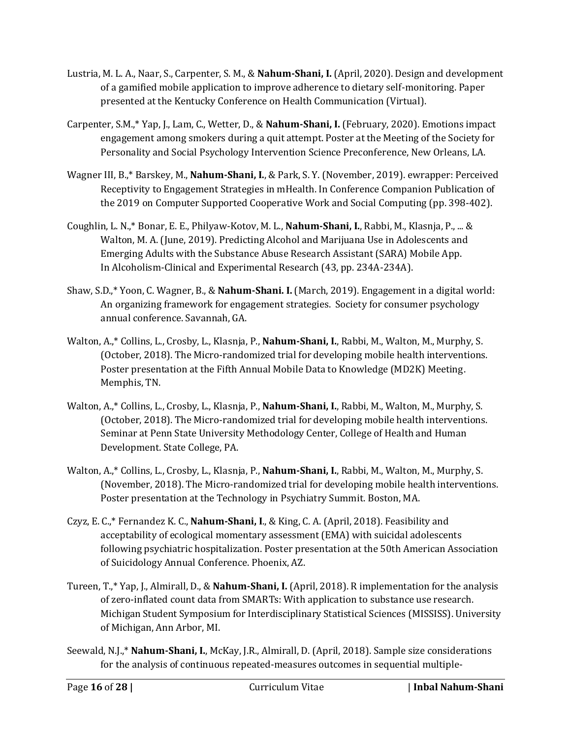- Lustria, M. L. A., Naar, S., Carpenter, S. M., & **Nahum-Shani, I.** (April, 2020). Design and development of a gamified mobile application to improve adherence to dietary self-monitoring. Paper presented at the Kentucky Conference on Health Communication (Virtual).
- Carpenter, S.M.,\* Yap, J., Lam, C., Wetter, D., & **Nahum-Shani, I.** (February, 2020). Emotions impact engagement among smokers during a quit attempt. Poster at the Meeting of the Society for Personality and Social Psychology Intervention Science Preconference, New Orleans, LA.
- Wagner III, B.,\* Barskey, M., **Nahum-Shani, I.**, & Park, S. Y. (November, 2019). ewrapper: Perceived Receptivity to Engagement Strategies in mHealth. In Conference Companion Publication of the 2019 on Computer Supported Cooperative Work and Social Computing (pp. 398-402).
- Coughlin, L. N.,\* Bonar, E. E., Philyaw-Kotov, M. L., **Nahum-Shani, I.**, Rabbi, M., Klasnja, P., ... & Walton, M. A. (June, 2019). Predicting Alcohol and Marijuana Use in Adolescents and Emerging Adults with the Substance Abuse Research Assistant (SARA) Mobile App. In Alcoholism-Clinical and Experimental Research (43, pp. 234A-234A).
- Shaw, S.D.,\* Yoon, C. Wagner, B., & **Nahum-Shani. I.** (March, 2019). Engagement in a digital world: An organizing framework for engagement strategies. Society for consumer psychology annual conference. Savannah, GA.
- Walton, A.,\* Collins, L., Crosby, L., Klasnja, P., **Nahum-Shani, I.**, Rabbi, M., Walton, M., Murphy, S. (October, 2018). The Micro-randomized trial for developing mobile health interventions. Poster presentation at the Fifth Annual Mobile Data to Knowledge (MD2K) Meeting. Memphis, TN.
- Walton, A.,\* Collins, L., Crosby, L., Klasnja, P., **Nahum-Shani, I.**, Rabbi, M., Walton, M., Murphy, S. (October, 2018). The Micro-randomized trial for developing mobile health interventions. Seminar at Penn State University Methodology Center, College of Health and Human Development. State College, PA.
- Walton, A.,\* Collins, L., Crosby, L., Klasnja, P., **Nahum-Shani, I.**, Rabbi, M., Walton, M., Murphy, S. (November, 2018). The Micro-randomized trial for developing mobile health interventions. Poster presentation at the Technology in Psychiatry Summit. Boston, MA.
- Czyz, E. C.,\* Fernandez K. C., **Nahum-Shani, I**., & King, C. A. (April, 2018). Feasibility and acceptability of ecological momentary assessment (EMA) with suicidal adolescents following psychiatric hospitalization. Poster presentation at the 50th American Association of Suicidology Annual Conference. Phoenix, AZ.
- Tureen, T.,\* Yap, J., Almirall, D., & **Nahum-Shani, I.** (April, 2018). R implementation for the analysis of zero-inflated count data from SMARTs: With application to substance use research. Michigan Student Symposium for Interdisciplinary Statistical Sciences (MISSISS). University of Michigan, Ann Arbor, MI.
- Seewald, N.J.,\* **Nahum-Shani, I.**, McKay, J.R., Almirall, D. (April, 2018). Sample size considerations for the analysis of continuous repeated-measures outcomes in sequential multiple-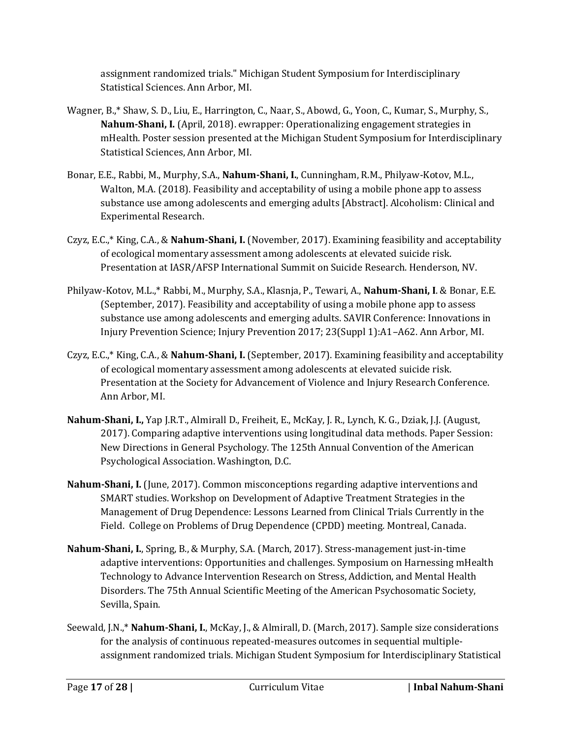assignment randomized trials." Michigan Student Symposium for Interdisciplinary Statistical Sciences. Ann Arbor, MI.

- Wagner, B.,\* Shaw, S. D., Liu, E., Harrington, C., Naar, S., Abowd, G., Yoon, C., Kumar, S., Murphy, S., **Nahum-Shani, I.** (April, 2018). ewrapper: Operationalizing engagement strategies in mHealth. Poster session presented at the Michigan Student Symposium for Interdisciplinary Statistical Sciences, Ann Arbor, MI.
- Bonar, E.E., Rabbi, M., Murphy, S.A., **Nahum-Shani, I.**, Cunningham, R.M., Philyaw-Kotov, M.L., Walton, M.A. (2018). Feasibility and acceptability of using a mobile phone app to assess substance use among adolescents and emerging adults [Abstract]. Alcoholism: Clinical and Experimental Research.
- Czyz, E.C.,\* King, C.A., & **Nahum-Shani, I.** (November, 2017). Examining feasibility and acceptability of ecological momentary assessment among adolescents at elevated suicide risk. Presentation at IASR/AFSP International Summit on Suicide Research. Henderson, NV.
- Philyaw-Kotov, M.L.,\* Rabbi, M., Murphy, S.A., Klasnja, P., Tewari, A., **Nahum-Shani, I**. & Bonar, E.E. (September, 2017). Feasibility and acceptability of using a mobile phone app to assess substance use among adolescents and emerging adults. SAVIR Conference: Innovations in Injury Prevention Science; Injury Prevention 2017; 23(Suppl 1):A1–A62. Ann Arbor, MI.
- Czyz, E.C.,\* King, C.A., & **Nahum-Shani, I.** (September, 2017). Examining feasibility and acceptability of ecological momentary assessment among adolescents at elevated suicide risk. Presentation at the Society for Advancement of Violence and Injury Research Conference. Ann Arbor, MI.
- **Nahum-Shani, I.,** Yap J.R.T., Almirall D., Freiheit, E., McKay, J. R., Lynch, K. G., Dziak, J.J. (August, 2017). Comparing adaptive interventions using longitudinal data methods. Paper Session: New Directions in General Psychology. The 125th Annual Convention of the American Psychological Association. Washington, D.C.
- **Nahum-Shani, I.** (June, 2017). Common misconceptions regarding adaptive interventions and SMART studies. Workshop on Development of Adaptive Treatment Strategies in the Management of Drug Dependence: Lessons Learned from Clinical Trials Currently in the Field. College on Problems of Drug Dependence (CPDD) meeting. Montreal, Canada.
- **Nahum-Shani, I.**, Spring, B., & Murphy, S.A. (March, 2017). Stress-management just-in-time adaptive interventions: Opportunities and challenges. Symposium on Harnessing mHealth Technology to Advance Intervention Research on Stress, Addiction, and Mental Health Disorders. The 75th Annual Scientific Meeting of the American Psychosomatic Society, Sevilla, Spain.
- Seewald, J.N.,\* **Nahum-Shani, I.**, McKay, J., & Almirall, D. (March, 2017). Sample size considerations for the analysis of continuous repeated-measures outcomes in sequential multipleassignment randomized trials. Michigan Student Symposium for Interdisciplinary Statistical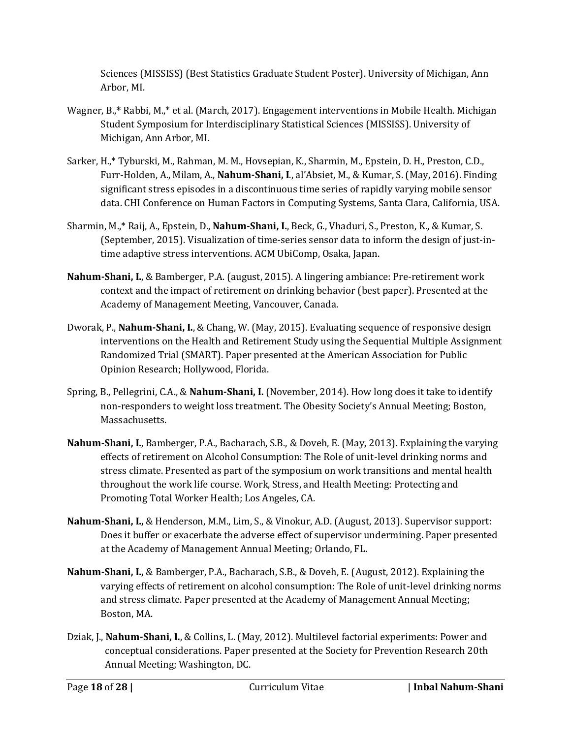Sciences (MISSISS) (Best Statistics Graduate Student Poster). University of Michigan, Ann Arbor, MI.

- Wagner, B.,**\*** Rabbi, M.,\* et al. (March, 2017). Engagement interventions in Mobile Health. Michigan Student Symposium for Interdisciplinary Statistical Sciences (MISSISS). University of Michigan, Ann Arbor, MI.
- Sarker, H.,\* Tyburski, M., Rahman, M. M., Hovsepian, K., Sharmin, M., Epstein, D. H., Preston, C.D., Furr-Holden, A., Milam, A., **Nahum-Shani, I**., al'Absiet, M., & Kumar, S. (May, 2016). Finding significant stress episodes in a discontinuous time series of rapidly varying mobile sensor data. CHI Conference on Human Factors in Computing Systems, Santa Clara, California, USA.
- Sharmin, M.,\* Raij, A., Epstein, D., **Nahum-Shani, I.**, Beck, G., Vhaduri, S., Preston, K., & Kumar, S. (September, 2015). Visualization of time-series sensor data to inform the design of just-intime adaptive stress interventions. ACM UbiComp, Osaka, Japan.
- **Nahum-Shani, I.**, & Bamberger, P.A. (august, 2015). A lingering ambiance: Pre-retirement work context and the impact of retirement on drinking behavior (best paper). Presented at the Academy of Management Meeting, Vancouver, Canada.
- Dworak, P., **Nahum-Shani, I.**, & Chang, W. (May, 2015). Evaluating sequence of responsive design interventions on the Health and Retirement Study using the Sequential Multiple Assignment Randomized Trial (SMART). Paper presented at the American Association for Public Opinion Research; Hollywood, Florida.
- Spring, B., Pellegrini, C.A., & **Nahum-Shani, I.** (November, 2014). How long does it take to identify non-responders to weight loss treatment. The Obesity Society's Annual Meeting; Boston, Massachusetts.
- **Nahum-Shani, I.**, Bamberger, P.A., Bacharach, S.B., & Doveh, E. (May, 2013). Explaining the varying effects of retirement on Alcohol Consumption: The Role of unit-level drinking norms and stress climate. Presented as part of the symposium on work transitions and mental health throughout the work life course. Work, Stress, and Health Meeting: Protecting and Promoting Total Worker Health; Los Angeles, CA.
- **Nahum-Shani, I.,** & Henderson, M.M., Lim, S., & Vinokur, A.D. (August, 2013). Supervisor support: Does it buffer or exacerbate the adverse effect of supervisor undermining. Paper presented at the Academy of Management Annual Meeting; Orlando, FL.
- **Nahum-Shani, I.,** & Bamberger, P.A., Bacharach, S.B., & Doveh, E. (August, 2012). Explaining the varying effects of retirement on alcohol consumption: The Role of unit-level drinking norms and stress climate. Paper presented at the Academy of Management Annual Meeting; Boston, MA.
- Dziak, J., **Nahum-Shani, I.**, & Collins, L. (May, 2012). Multilevel factorial experiments: Power and conceptual considerations. Paper presented at the Society for Prevention Research 20th Annual Meeting; Washington, DC.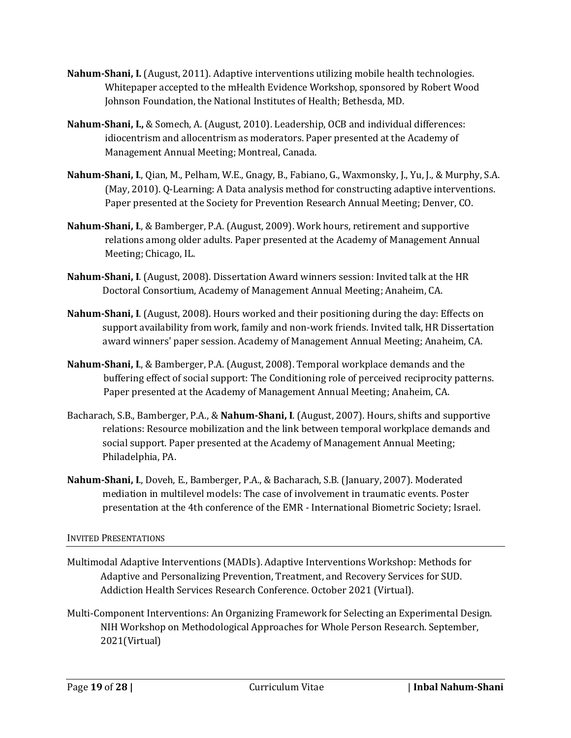- **Nahum-Shani, I.** (August, 2011). Adaptive interventions utilizing mobile health technologies. Whitepaper accepted to the mHealth Evidence Workshop, sponsored by Robert Wood Johnson Foundation, the National Institutes of Health; Bethesda, MD.
- **Nahum-Shani, I.,** & Somech, A. (August, 2010). Leadership, OCB and individual differences: idiocentrism and allocentrism as moderators. Paper presented at the Academy of Management Annual Meeting; Montreal, Canada.
- **Nahum-Shani, I**., Qian, M., Pelham, W.E., Gnagy, B., Fabiano, G., Waxmonsky, J., Yu, J., & Murphy, S.A. (May, 2010). Q-Learning: A Data analysis method for constructing adaptive interventions. Paper presented at the Society for Prevention Research Annual Meeting; Denver, CO.
- **Nahum-Shani, I**., & Bamberger, P.A. (August, 2009). Work hours, retirement and supportive relations among older adults. Paper presented at the Academy of Management Annual Meeting; Chicago, IL.
- **Nahum-Shani, I**. (August, 2008). Dissertation Award winners session: Invited talk at the HR Doctoral Consortium, Academy of Management Annual Meeting; Anaheim, CA.
- **Nahum-Shani, I**. (August, 2008). Hours worked and their positioning during the day: Effects on support availability from work, family and non-work friends. Invited talk, HR Dissertation award winners' paper session. Academy of Management Annual Meeting; Anaheim, CA.
- **Nahum-Shani, I**., & Bamberger, P.A. (August, 2008). Temporal workplace demands and the buffering effect of social support: The Conditioning role of perceived reciprocity patterns. Paper presented at the Academy of Management Annual Meeting; Anaheim, CA.
- Bacharach, S.B., Bamberger, P.A., & **Nahum-Shani, I**. (August, 2007). Hours, shifts and supportive relations: Resource mobilization and the link between temporal workplace demands and social support. Paper presented at the Academy of Management Annual Meeting; Philadelphia, PA.
- **Nahum-Shani, I**., Doveh, E., Bamberger, P.A., & Bacharach, S.B. (January, 2007). Moderated mediation in multilevel models: The case of involvement in traumatic events. Poster presentation at the 4th conference of the EMR - International Biometric Society; Israel.

## INVITED PRESENTATIONS

- Multimodal Adaptive Interventions (MADIs). Adaptive Interventions Workshop: Methods for Adaptive and Personalizing Prevention, Treatment, and Recovery Services for SUD. Addiction Health Services Research Conference. October 2021 (Virtual).
- Multi-Component Interventions: An Organizing Framework for Selecting an Experimental Design. NIH Workshop on Methodological Approaches for Whole Person Research. September, 2021(Virtual)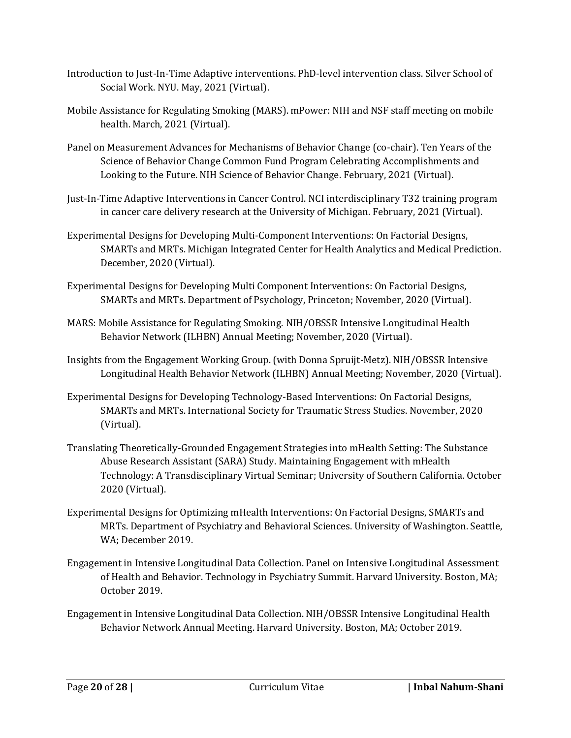- Introduction to Just-In-Time Adaptive interventions. PhD-level intervention class. Silver School of Social Work. NYU. May, 2021 (Virtual).
- Mobile Assistance for Regulating Smoking (MARS). mPower: NIH and NSF staff meeting on mobile health. March, 2021 (Virtual).
- Panel on Measurement Advances for Mechanisms of Behavior Change (co-chair). Ten Years of the Science of Behavior Change Common Fund Program Celebrating Accomplishments and Looking to the Future. NIH Science of Behavior Change. February, 2021 (Virtual).
- Just-In-Time Adaptive Interventions in Cancer Control. NCI interdisciplinary T32 training program in cancer care delivery research at the University of Michigan. February, 2021 (Virtual).
- Experimental Designs for Developing Multi-Component Interventions: On Factorial Designs, SMARTs and MRTs. Michigan Integrated Center for Health Analytics and Medical Prediction. December, 2020 (Virtual).
- Experimental Designs for Developing Multi Component Interventions: On Factorial Designs, SMARTs and MRTs. Department of Psychology, Princeton; November, 2020 (Virtual).
- MARS: Mobile Assistance for Regulating Smoking. NIH/OBSSR Intensive Longitudinal Health Behavior Network (ILHBN) Annual Meeting; November, 2020 (Virtual).
- Insights from the Engagement Working Group. (with Donna Spruijt-Metz). NIH/OBSSR Intensive Longitudinal Health Behavior Network (ILHBN) Annual Meeting; November, 2020 (Virtual).
- Experimental Designs for Developing Technology-Based Interventions: On Factorial Designs, SMARTs and MRTs. International Society for Traumatic Stress Studies. November, 2020 (Virtual).
- Translating Theoretically-Grounded Engagement Strategies into mHealth Setting: The Substance Abuse Research Assistant (SARA) Study. Maintaining Engagement with mHealth Technology: A Transdisciplinary Virtual Seminar; University of Southern California. October 2020 (Virtual).
- Experimental Designs for Optimizing mHealth Interventions: On Factorial Designs, SMARTs and MRTs. Department of Psychiatry and Behavioral Sciences. University of Washington. Seattle, WA; December 2019.
- Engagement in Intensive Longitudinal Data Collection. Panel on Intensive Longitudinal Assessment of Health and Behavior. Technology in Psychiatry Summit. Harvard University. Boston, MA; October 2019.
- Engagement in Intensive Longitudinal Data Collection. NIH/OBSSR Intensive Longitudinal Health Behavior Network Annual Meeting. Harvard University. Boston, MA; October 2019.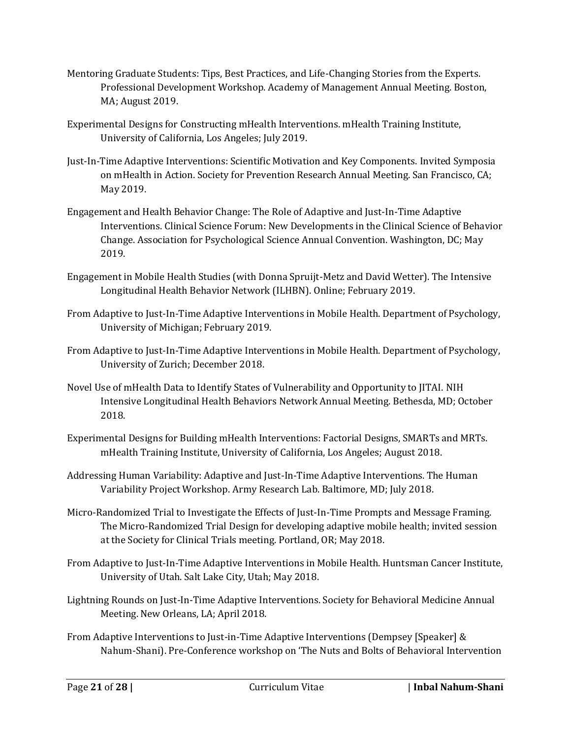- Mentoring Graduate Students: Tips, Best Practices, and Life-Changing Stories from the Experts. Professional Development Workshop. Academy of Management Annual Meeting. Boston, MA; August 2019.
- Experimental Designs for Constructing mHealth Interventions. mHealth Training Institute, University of California, Los Angeles; July 2019.
- Just-In-Time Adaptive Interventions: Scientific Motivation and Key Components. Invited Symposia on mHealth in Action. Society for Prevention Research Annual Meeting. San Francisco, CA; May 2019.
- Engagement and Health Behavior Change: The Role of Adaptive and Just-In-Time Adaptive Interventions. Clinical Science Forum: New Developments in the Clinical Science of Behavior Change. Association for Psychological Science Annual Convention. Washington, DC; May 2019.
- Engagement in Mobile Health Studies (with Donna Spruijt-Metz and David Wetter). The Intensive Longitudinal Health Behavior Network (ILHBN). Online; February 2019.
- From Adaptive to Just-In-Time Adaptive Interventions in Mobile Health. Department of Psychology, University of Michigan; February 2019.
- From Adaptive to Just-In-Time Adaptive Interventions in Mobile Health. Department of Psychology, University of Zurich; December 2018.
- Novel Use of mHealth Data to Identify States of Vulnerability and Opportunity to JITAI. NIH Intensive Longitudinal Health Behaviors Network Annual Meeting. Bethesda, MD; October 2018.
- Experimental Designs for Building mHealth Interventions: Factorial Designs, SMARTs and MRTs. mHealth Training Institute, University of California, Los Angeles; August 2018.
- Addressing Human Variability: Adaptive and Just-In-Time Adaptive Interventions. The Human Variability Project Workshop. Army Research Lab. Baltimore, MD; July 2018.
- Micro-Randomized Trial to Investigate the Effects of Just-In-Time Prompts and Message Framing. The Micro-Randomized Trial Design for developing adaptive mobile health; invited session at the Society for Clinical Trials meeting. Portland, OR; May 2018.
- From Adaptive to Just-In-Time Adaptive Interventions in Mobile Health. Huntsman Cancer Institute, University of Utah. Salt Lake City, Utah; May 2018.
- Lightning Rounds on Just-In-Time Adaptive Interventions. Society for Behavioral Medicine Annual Meeting. New Orleans, LA; April 2018.
- From Adaptive Interventions to Just-in-Time Adaptive Interventions (Dempsey [Speaker] & Nahum-Shani). Pre-Conference workshop on 'The Nuts and Bolts of Behavioral Intervention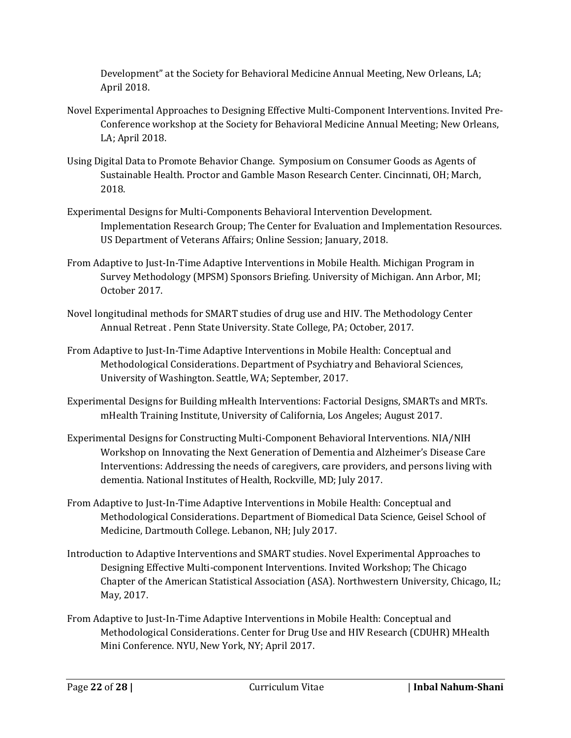Development" at the Society for Behavioral Medicine Annual Meeting, New Orleans, LA; April 2018.

- Novel Experimental Approaches to Designing Effective Multi-Component Interventions. Invited Pre-Conference workshop at the Society for Behavioral Medicine Annual Meeting; New Orleans, LA; April 2018.
- Using Digital Data to Promote Behavior Change. Symposium on Consumer Goods as Agents of Sustainable Health. Proctor and Gamble Mason Research Center. Cincinnati, OH; March, 2018.
- Experimental Designs for Multi-Components Behavioral Intervention Development. Implementation Research Group; The Center for Evaluation and Implementation Resources. US Department of Veterans Affairs; Online Session; January, 2018.
- From Adaptive to Just-In-Time Adaptive Interventions in Mobile Health. Michigan Program in Survey Methodology (MPSM) Sponsors Briefing. University of Michigan. Ann Arbor, MI; October 2017.
- Novel longitudinal methods for SMART studies of drug use and HIV. The Methodology Center Annual Retreat . Penn State University. State College, PA; October, 2017.
- From Adaptive to Just-In-Time Adaptive Interventions in Mobile Health: Conceptual and Methodological Considerations. Department of Psychiatry and Behavioral Sciences, University of Washington. Seattle, WA; September, 2017.
- Experimental Designs for Building mHealth Interventions: Factorial Designs, SMARTs and MRTs. mHealth Training Institute, University of California, Los Angeles; August 2017.
- Experimental Designs for Constructing Multi-Component Behavioral Interventions. NIA/NIH Workshop on Innovating the Next Generation of Dementia and Alzheimer's Disease Care Interventions: Addressing the needs of caregivers, care providers, and persons living with dementia. National Institutes of Health, Rockville, MD; July 2017.
- From Adaptive to Just-In-Time Adaptive Interventions in Mobile Health: Conceptual and Methodological Considerations. Department of Biomedical Data Science, Geisel School of Medicine, Dartmouth College. Lebanon, NH; July 2017.
- Introduction to Adaptive Interventions and SMART studies. Novel Experimental Approaches to Designing Effective Multi-component Interventions. Invited Workshop; The Chicago Chapter of the American Statistical Association (ASA). Northwestern University, Chicago, IL; May, 2017.
- From Adaptive to Just-In-Time Adaptive Interventions in Mobile Health: Conceptual and Methodological Considerations. Center for Drug Use and HIV Research (CDUHR) MHealth Mini Conference. NYU, New York, NY; April 2017.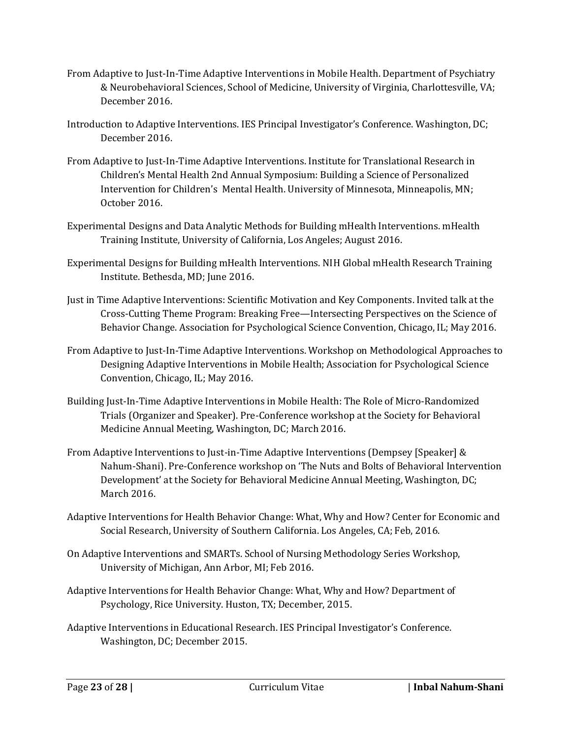- From Adaptive to Just-In-Time Adaptive Interventions in Mobile Health. Department of Psychiatry & Neurobehavioral Sciences, School of Medicine, University of Virginia, Charlottesville, VA; December 2016.
- Introduction to Adaptive Interventions. IES Principal Investigator's Conference. Washington, DC; December 2016.
- From Adaptive to Just-In-Time Adaptive Interventions. Institute for Translational Research in Children's Mental Health 2nd Annual Symposium: Building a Science of Personalized Intervention for Children's Mental Health. University of Minnesota, Minneapolis, MN; October 2016.
- Experimental Designs and Data Analytic Methods for Building mHealth Interventions. mHealth Training Institute, University of California, Los Angeles; August 2016.
- Experimental Designs for Building mHealth Interventions. NIH Global mHealth Research Training Institute. Bethesda, MD; June 2016.
- Just in Time Adaptive Interventions: Scientific Motivation and Key Components. Invited talk at the Cross-Cutting Theme Program: Breaking Free—Intersecting Perspectives on the Science of Behavior Change. Association for Psychological Science Convention, Chicago, IL; May 2016.
- From Adaptive to Just-In-Time Adaptive Interventions. Workshop on Methodological Approaches to Designing Adaptive Interventions in Mobile Health; Association for Psychological Science Convention, Chicago, IL; May 2016.
- Building Just-In-Time Adaptive Interventions in Mobile Health: The Role of Micro-Randomized Trials (Organizer and Speaker). Pre-Conference workshop at the Society for Behavioral Medicine Annual Meeting, Washington, DC; March 2016.
- From Adaptive Interventions to Just-in-Time Adaptive Interventions (Dempsey [Speaker] & Nahum-Shani). Pre-Conference workshop on 'The Nuts and Bolts of Behavioral Intervention Development' at the Society for Behavioral Medicine Annual Meeting, Washington, DC; March 2016.
- Adaptive Interventions for Health Behavior Change: What, Why and How? Center for Economic and Social Research, University of Southern California. Los Angeles, CA; Feb, 2016.
- On Adaptive Interventions and SMARTs. School of Nursing Methodology Series Workshop, University of Michigan, Ann Arbor, MI; Feb 2016.
- Adaptive Interventions for Health Behavior Change: What, Why and How? Department of Psychology, Rice University. Huston, TX; December, 2015.
- Adaptive Interventions in Educational Research. IES Principal Investigator's Conference. Washington, DC; December 2015.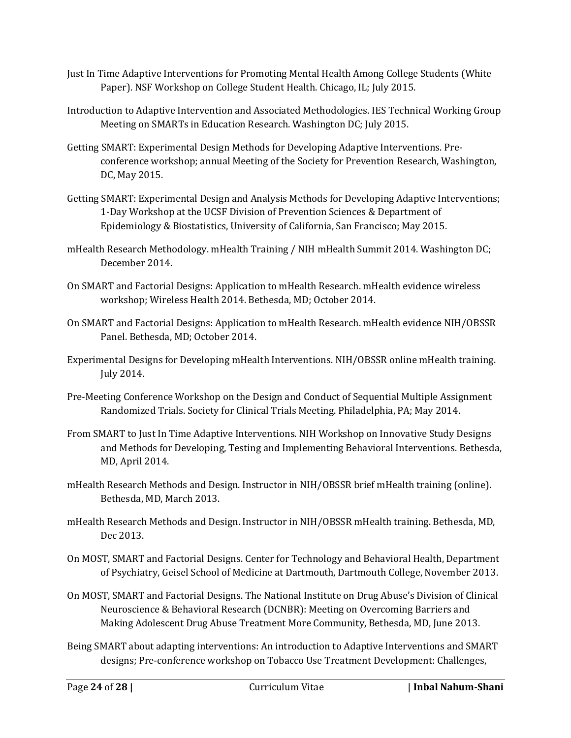- Just In Time Adaptive Interventions for Promoting Mental Health Among College Students (White Paper). NSF Workshop on College Student Health. Chicago, IL; July 2015.
- Introduction to Adaptive Intervention and Associated Methodologies. IES Technical Working Group Meeting on SMARTs in Education Research. Washington DC; July 2015.
- Getting SMART: Experimental Design Methods for Developing Adaptive Interventions. Preconference workshop; annual Meeting of the Society for Prevention Research, Washington, DC, May 2015.
- Getting SMART: Experimental Design and Analysis Methods for Developing Adaptive Interventions; 1-Day Workshop at the UCSF Division of Prevention Sciences & Department of Epidemiology & Biostatistics, University of California, San Francisco; May 2015.
- mHealth Research Methodology. mHealth Training / NIH mHealth Summit 2014. Washington DC; December 2014.
- On SMART and Factorial Designs: Application to mHealth Research. mHealth evidence wireless workshop; Wireless Health 2014. Bethesda, MD; October 2014.
- On SMART and Factorial Designs: Application to mHealth Research. mHealth evidence NIH/OBSSR Panel. Bethesda, MD; October 2014.
- Experimental Designs for Developing mHealth Interventions. NIH/OBSSR online mHealth training. July 2014.
- Pre-Meeting Conference Workshop on the Design and Conduct of Sequential Multiple Assignment Randomized Trials. Society for Clinical Trials Meeting. Philadelphia, PA; May 2014.
- From SMART to Just In Time Adaptive Interventions. NIH Workshop on Innovative Study Designs and Methods for Developing, Testing and Implementing Behavioral Interventions. Bethesda, MD, April 2014.
- mHealth Research Methods and Design. Instructor in NIH/OBSSR brief mHealth training (online). Bethesda, MD, March 2013.
- mHealth Research Methods and Design. Instructor in NIH/OBSSR mHealth training. Bethesda, MD, Dec 2013.
- On MOST, SMART and Factorial Designs. Center for Technology and Behavioral Health, Department of Psychiatry, Geisel School of Medicine at Dartmouth, Dartmouth College, November 2013.
- On MOST, SMART and Factorial Designs. The National Institute on Drug Abuse's Division of Clinical Neuroscience & Behavioral Research (DCNBR): Meeting on Overcoming Barriers and Making Adolescent Drug Abuse Treatment More Community, Bethesda, MD, June 2013.
- Being SMART about adapting interventions: An introduction to Adaptive Interventions and SMART designs; Pre-conference workshop on Tobacco Use Treatment Development: Challenges,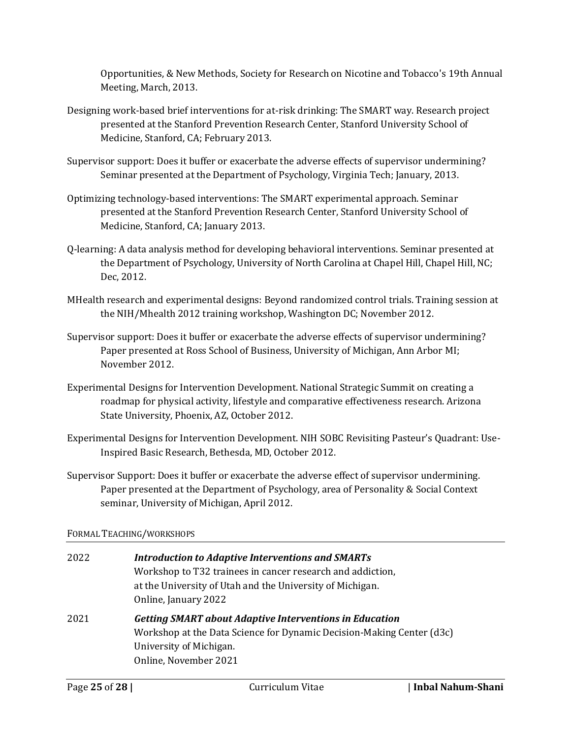Opportunities, & New Methods, Society for Research on Nicotine and Tobacco's 19th Annual Meeting, March, 2013.

- Designing work-based brief interventions for at-risk drinking: The SMART way. Research project presented at the Stanford Prevention Research Center, Stanford University School of Medicine, Stanford, CA; February 2013.
- Supervisor support: Does it buffer or exacerbate the adverse effects of supervisor undermining? Seminar presented at the Department of Psychology, Virginia Tech; January, 2013.
- Optimizing technology-based interventions: The SMART experimental approach. Seminar presented at the Stanford Prevention Research Center, Stanford University School of Medicine, Stanford, CA; January 2013.
- Q-learning: A data analysis method for developing behavioral interventions. Seminar presented at the Department of Psychology, University of North Carolina at Chapel Hill, Chapel Hill, NC; Dec, 2012.
- MHealth research and experimental designs: Beyond randomized control trials. Training session at the NIH/Mhealth 2012 training workshop, Washington DC; November 2012.
- Supervisor support: Does it buffer or exacerbate the adverse effects of supervisor undermining? Paper presented at Ross School of Business, University of Michigan, Ann Arbor MI; November 2012.
- Experimental Designs for Intervention Development. National Strategic Summit on creating a roadmap for physical activity, lifestyle and comparative effectiveness research. Arizona State University, Phoenix, AZ, October 2012.
- Experimental Designs for Intervention Development. NIH SOBC Revisiting Pasteur's Quadrant: Use-Inspired Basic Research, Bethesda, MD, October 2012.
- Supervisor Support: Does it buffer or exacerbate the adverse effect of supervisor undermining. Paper presented at the Department of Psychology, area of Personality & Social Context seminar, University of Michigan, April 2012.

# FORMAL TEACHING/WORKSHOPS

| 2022 | <b>Introduction to Adaptive Interventions and SMARTs</b><br>Workshop to T32 trainees in cancer research and addiction,<br>at the University of Utah and the University of Michigan.<br>Online, January 2022 |
|------|-------------------------------------------------------------------------------------------------------------------------------------------------------------------------------------------------------------|
| 2021 | <b>Getting SMART about Adaptive Interventions in Education</b><br>Workshop at the Data Science for Dynamic Decision-Making Center (d3c)<br>University of Michigan.                                          |
|      | Online, November 2021                                                                                                                                                                                       |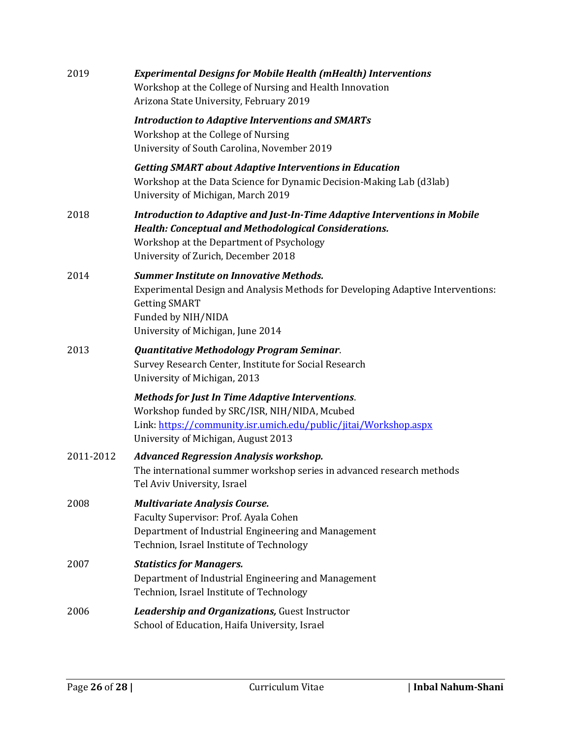| 2019      | <b>Experimental Designs for Mobile Health (mHealth) Interventions</b><br>Workshop at the College of Nursing and Health Innovation<br>Arizona State University, February 2019                                                  |
|-----------|-------------------------------------------------------------------------------------------------------------------------------------------------------------------------------------------------------------------------------|
|           | <b>Introduction to Adaptive Interventions and SMARTs</b><br>Workshop at the College of Nursing<br>University of South Carolina, November 2019                                                                                 |
|           | <b>Getting SMART about Adaptive Interventions in Education</b><br>Workshop at the Data Science for Dynamic Decision-Making Lab (d3lab)<br>University of Michigan, March 2019                                                  |
| 2018      | Introduction to Adaptive and Just-In-Time Adaptive Interventions in Mobile<br><b>Health: Conceptual and Methodological Considerations.</b><br>Workshop at the Department of Psychology<br>University of Zurich, December 2018 |
| 2014      | <b>Summer Institute on Innovative Methods.</b><br>Experimental Design and Analysis Methods for Developing Adaptive Interventions:<br><b>Getting SMART</b><br>Funded by NIH/NIDA<br>University of Michigan, June 2014          |
| 2013      | <b>Quantitative Methodology Program Seminar.</b><br>Survey Research Center, Institute for Social Research<br>University of Michigan, 2013                                                                                     |
|           | <b>Methods for Just In Time Adaptive Interventions.</b><br>Workshop funded by SRC/ISR, NIH/NIDA, Mcubed<br>Link: https://community.isr.umich.edu/public/jitai/Workshop.aspx<br>University of Michigan, August 2013            |
| 2011-2012 | <b>Advanced Regression Analysis workshop.</b><br>The international summer workshop series in advanced research methods<br>Tel Aviv University, Israel                                                                         |
| 2008      | <b>Multivariate Analysis Course.</b><br>Faculty Supervisor: Prof. Ayala Cohen<br>Department of Industrial Engineering and Management<br>Technion, Israel Institute of Technology                                              |
| 2007      | <b>Statistics for Managers.</b><br>Department of Industrial Engineering and Management<br>Technion, Israel Institute of Technology                                                                                            |
| 2006      | <b>Leadership and Organizations, Guest Instructor</b><br>School of Education, Haifa University, Israel                                                                                                                        |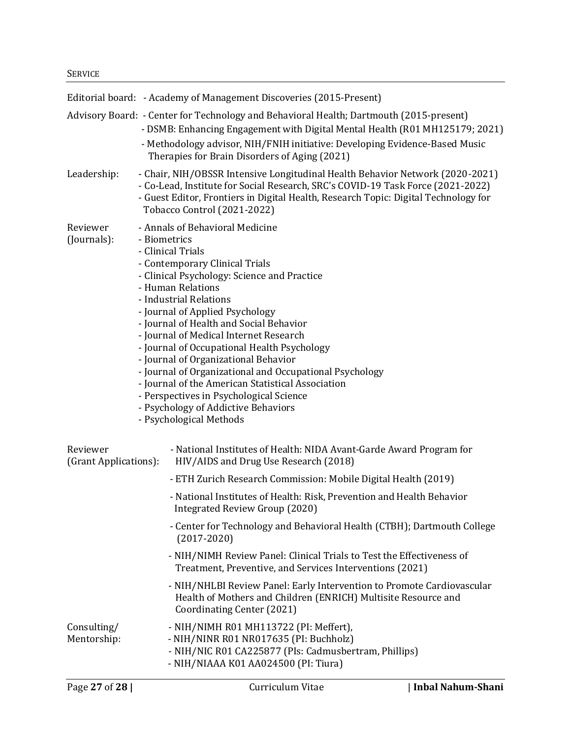#### **SERVICE**

|                                   | Editorial board: - Academy of Management Discoveries (2015-Present)                                                                                                                                                                                                                                                                                                                                                                                                                                                                                                                                                                              |
|-----------------------------------|--------------------------------------------------------------------------------------------------------------------------------------------------------------------------------------------------------------------------------------------------------------------------------------------------------------------------------------------------------------------------------------------------------------------------------------------------------------------------------------------------------------------------------------------------------------------------------------------------------------------------------------------------|
|                                   | Advisory Board: - Center for Technology and Behavioral Health; Dartmouth (2015-present)<br>- DSMB: Enhancing Engagement with Digital Mental Health (R01 MH125179; 2021)<br>- Methodology advisor, NIH/FNIH initiative: Developing Evidence-Based Music<br>Therapies for Brain Disorders of Aging (2021)                                                                                                                                                                                                                                                                                                                                          |
| Leadership:                       | - Chair, NIH/OBSSR Intensive Longitudinal Health Behavior Network (2020-2021)<br>- Co-Lead, Institute for Social Research, SRC's COVID-19 Task Force (2021-2022)<br>- Guest Editor, Frontiers in Digital Health, Research Topic: Digital Technology for<br>Tobacco Control (2021-2022)                                                                                                                                                                                                                                                                                                                                                           |
| Reviewer<br>(Journals):           | - Annals of Behavioral Medicine<br>- Biometrics<br>- Clinical Trials<br>- Contemporary Clinical Trials<br>- Clinical Psychology: Science and Practice<br>- Human Relations<br>- Industrial Relations<br>- Journal of Applied Psychology<br>- Journal of Health and Social Behavior<br>- Journal of Medical Internet Research<br>- Journal of Occupational Health Psychology<br>- Journal of Organizational Behavior<br>- Journal of Organizational and Occupational Psychology<br>- Journal of the American Statistical Association<br>- Perspectives in Psychological Science<br>- Psychology of Addictive Behaviors<br>- Psychological Methods |
| Reviewer<br>(Grant Applications): | - National Institutes of Health: NIDA Avant-Garde Award Program for<br>HIV/AIDS and Drug Use Research (2018)                                                                                                                                                                                                                                                                                                                                                                                                                                                                                                                                     |
|                                   | - ETH Zurich Research Commission: Mobile Digital Health (2019)                                                                                                                                                                                                                                                                                                                                                                                                                                                                                                                                                                                   |
|                                   | - National Institutes of Health: Risk, Prevention and Health Behavior<br>Integrated Review Group (2020)                                                                                                                                                                                                                                                                                                                                                                                                                                                                                                                                          |
|                                   | - Center for Technology and Behavioral Health (CTBH); Dartmouth College<br>$(2017 - 2020)$                                                                                                                                                                                                                                                                                                                                                                                                                                                                                                                                                       |
|                                   | - NIH/NIMH Review Panel: Clinical Trials to Test the Effectiveness of<br>Treatment, Preventive, and Services Interventions (2021)                                                                                                                                                                                                                                                                                                                                                                                                                                                                                                                |
|                                   | - NIH/NHLBI Review Panel: Early Intervention to Promote Cardiovascular<br>Health of Mothers and Children (ENRICH) Multisite Resource and<br>Coordinating Center (2021)                                                                                                                                                                                                                                                                                                                                                                                                                                                                           |
| Consulting/<br>Mentorship:        | - NIH/NIMH R01 MH113722 (PI: Meffert),<br>- NIH/NINR R01 NR017635 (PI: Buchholz)<br>- NIH/NIC R01 CA225877 (PIs: Cadmusbertram, Phillips)<br>- NIH/NIAAA K01 AA024500 (PI: Tiura)                                                                                                                                                                                                                                                                                                                                                                                                                                                                |